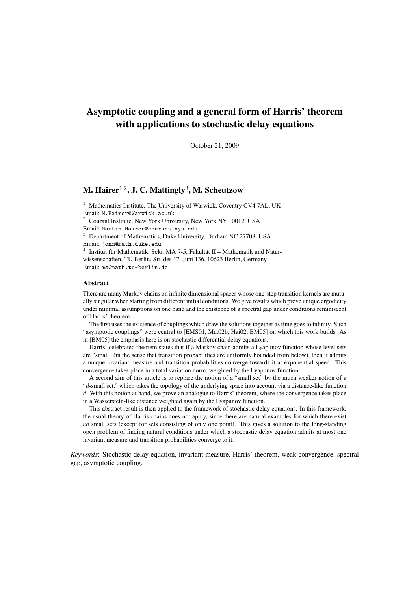# Asymptotic coupling and a general form of Harris' theorem with applications to stochastic delay equations

October 21, 2009

## M. Hairer $^{1,2}$ , J. C. Mattingly $^3$ , M. Scheutzow $^4$

<sup>1</sup> Mathematics Institute, The University of Warwick, Coventry CV4 7AL, UK Email: M.Hairer@Warwick.ac.uk

<sup>2</sup> Courant Institute, New York University, New York NY 10012, USA

Email: Martin.Hairer@courant.nyu.edu

<sup>3</sup> Department of Mathematics, Duke University, Durham NC 27708, USA

Email: jonm@math.duke.edu

 $4$  Institut für Mathematik, Sekr. MA 7-5, Fakultät II – Mathematik und Naturwissenschaften, TU Berlin, Str. des 17. Juni 136, 10623 Berlin, Germany Email: ms@math.tu-berlin.de

## Abstract

There are many Markov chains on infinite dimensional spaces whose one-step transition kernels are mutually singular when starting from different initial conditions. We give results which prove unique ergodicity under minimal assumptions on one hand and the existence of a spectral gap under conditions reminiscent of Harris' theorem.

The first uses the existence of couplings which draw the solutions together as time goes to infinity. Such "asymptotic couplings" were central to [EMS01, Mat02b, Hai02, BM05] on which this work builds. As in [BM05] the emphasis here is on stochastic differential delay equations.

Harris' celebrated theorem states that if a Markov chain admits a Lyapunov function whose level sets are "small" (in the sense that transition probabilities are uniformly bounded from below), then it admits a unique invariant measure and transition probabilities converge towards it at exponential speed. This convergence takes place in a total variation norm, weighted by the Lyapunov function.

A second aim of this article is to replace the notion of a "small set" by the much weaker notion of a "d-small set," which takes the topology of the underlying space into account via a distance-like function d. With this notion at hand, we prove an analogue to Harris' theorem, where the convergence takes place in a Wasserstein-like distance weighted again by the Lyapunov function.

This abstract result is then applied to the framework of stochastic delay equations. In this framework, the usual theory of Harris chains does not apply, since there are natural examples for which there exist *no* small sets (except for sets consisting of only one point). This gives a solution to the long-standing open problem of finding natural conditions under which a stochastic delay equation admits at most one invariant measure and transition probabilities converge to it.

*Keywords*: Stochastic delay equation, invariant measure, Harris' theorem, weak convergence, spectral gap, asymptotic coupling.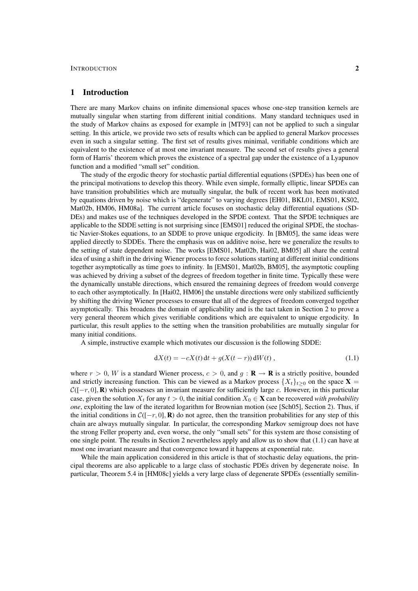## 1 Introduction

There are many Markov chains on infinite dimensional spaces whose one-step transition kernels are mutually singular when starting from different initial conditions. Many standard techniques used in the study of Markov chains as exposed for example in [MT93] can not be applied to such a singular setting. In this article, we provide two sets of results which can be applied to general Markov processes even in such a singular setting. The first set of results gives minimal, verifiable conditions which are equivalent to the existence of at most one invariant measure. The second set of results gives a general form of Harris' theorem which proves the existence of a spectral gap under the existence of a Lyapunov function and a modified "small set" condition.

The study of the ergodic theory for stochastic partial differential equations (SPDEs) has been one of the principal motivations to develop this theory. While even simple, formally elliptic, linear SPDEs can have transition probabilities which are mutually singular, the bulk of recent work has been motivated by equations driven by noise which is "degenerate" to varying degrees [EH01, BKL01, EMS01, KS02, Mat02b, HM06, HM08a]. The current article focuses on stochastic delay differential equations (SD-DEs) and makes use of the techniques developed in the SPDE context. That the SPDE techniques are applicable to the SDDE setting is not surprising since [EMS01] reduced the original SPDE, the stochastic Navier-Stokes equations, to an SDDE to prove unique ergodicity. In [BM05], the same ideas were applied directly to SDDEs. There the emphasis was on additive noise, here we generalize the results to the setting of state dependent noise. The works [EMS01, Mat02b, Hai02, BM05] all share the central idea of using a shift in the driving Wiener process to force solutions starting at different initial conditions together asymptotically as time goes to infinity. In [EMS01, Mat02b, BM05], the asymptotic coupling was achieved by driving a subset of the degrees of freedom together in finite time. Typically these were the dynamically unstable directions, which ensured the remaining degrees of freedom would converge to each other asymptotically. In [Hai02, HM06] the unstable directions were only stabilized sufficiently by shifting the driving Wiener processes to ensure that all of the degrees of freedom converged together asymptotically. This broadens the domain of applicability and is the tact taken in Section 2 to prove a very general theorem which gives verifiable conditions which are equivalent to unique ergodicity. In particular, this result applies to the setting when the transition probabilities are mutually singular for many initial conditions.

A simple, instructive example which motivates our discussion is the following SDDE:

$$
dX(t) = -cX(t) dt + g(X(t - r)) dW(t), \qquad (1.1)
$$

where  $r > 0$ , W is a standard Wiener process,  $c > 0$ , and  $q : \mathbf{R} \to \mathbf{R}$  is a strictly positive, bounded and strictly increasing function. This can be viewed as a Markov process  $\{X_t\}_{t\geq0}$  on the space **X** =  $C([-r, 0], \mathbf{R})$  which possesses an invariant measure for sufficiently large c. However, in this particular case, given the solution  $X_t$  for any  $t > 0$ , the initial condition  $X_0 \in \mathbf{X}$  can be recovered *with probability one*, exploiting the law of the iterated logarithm for Brownian motion (see [Sch05], Section 2). Thus, if the initial conditions in  $\mathcal{C}([-r, 0], \mathbf{R})$  do not agree, then the transition probabilities for any step of this chain are always mutually singular. In particular, the corresponding Markov semigroup does not have the strong Feller property and, even worse, the only "small sets" for this system are those consisting of one single point. The results in Section 2 nevertheless apply and allow us to show that (1.1) can have at most one invariant measure and that convergence toward it happens at exponential rate.

While the main application considered in this article is that of stochastic delay equations, the principal theorems are also applicable to a large class of stochastic PDEs driven by degenerate noise. In particular, Theorem 5.4 in [HM08c] yields a very large class of degenerate SPDEs (essentially semilin-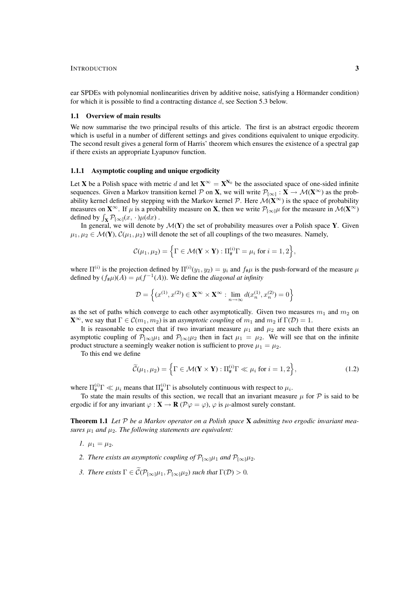ear SPDEs with polynomial nonlinearities driven by additive noise, satisfying a Hörmander condition) for which it is possible to find a contracting distance d, see Section 5.3 below.

### 1.1 Overview of main results

We now summarise the two principal results of this article. The first is an abstract ergodic theorem which is useful in a number of different settings and gives conditions equivalent to unique ergodicity. The second result gives a general form of Harris' theorem which ensures the existence of a spectral gap if there exists an appropriate Lyapunov function.

#### 1.1.1 Asymptotic coupling and unique ergodicity

Let **X** be a Polish space with metric d and let  $X^{\infty} = X^{N_0}$  be the associated space of one-sided infinite sequences. Given a Markov transition kernel  $P$  on **X**, we will write  $P_{[\infty]} : X \to M(X^{\infty})$  as the probability kernel defined by stepping with the Markov kernel  $P$ . Here  $\mathcal{M}(X^{\infty})$  is the space of probability measures on  $\mathbf{X}^{\infty}$ . If  $\mu$  is a probability measure on **X**, then we write  $\mathcal{P}_{[\infty]}\mu$  for the measure in  $\mathcal{M}(\mathbf{X}^{\infty})$ defined by  $\int_{\mathbf{X}} \mathcal{P}_{[\infty]}(x,\cdot)\mu(dx)$ .

In general, we will denote by  $\mathcal{M}(\mathbf{Y})$  the set of probability measures over a Polish space Y. Given  $\mu_1, \mu_2 \in \mathcal{M}(\mathbf{Y}), \mathcal{C}(\mu_1, \mu_2)$  will denote the set of all couplings of the two measures. Namely,

$$
\mathcal{C}(\mu_1, \mu_2) = \Big\{\Gamma \in \mathcal{M}(\mathbf{Y} \times \mathbf{Y}) : \Pi_{\#}^{(i)}\Gamma = \mu_i \text{ for } i = 1, 2\Big\},\
$$

where  $\Pi^{(i)}$  is the projection defined by  $\Pi^{(i)}(y_1, y_2) = y_i$  and  $f_{\#}\mu$  is the push-forward of the measure  $\mu$ defined by  $(f_{\#}\mu)(A) = \mu(f^{-1}(A))$ . We define the *diagonal at infinity* 

$$
\mathcal{D} = \left\{ (x^{(1)}, x^{(2)}) \in \mathbf{X}^{\infty} \times \mathbf{X}^{\infty} : \lim_{n \to \infty} d(x_n^{(1)}, x_n^{(2)}) = 0 \right\}
$$

as the set of paths which converge to each other asymptotically. Given two measures  $m_1$  and  $m_2$  on  $\mathbf{X}^{\infty}$ , we say that  $\Gamma \in \mathcal{C}(m_1, m_2)$  is an *asymptotic coupling* of  $m_1$  and  $m_2$  if  $\Gamma(\mathcal{D}) = 1$ .

It is reasonable to expect that if two invariant measure  $\mu_1$  and  $\mu_2$  are such that there exists an asymptotic coupling of  $\mathcal{P}_{[\infty]} \mu_1$  and  $\mathcal{P}_{[\infty]} \mu_2$  then in fact  $\mu_1 = \mu_2$ . We will see that on the infinite product structure a seemingly weaker notion is sufficient to prove  $\mu_1 = \mu_2$ .

To this end we define

$$
\widetilde{\mathcal{C}}(\mu_1, \mu_2) = \left\{ \Gamma \in \mathcal{M}(\mathbf{Y} \times \mathbf{Y}) : \Pi_{\#}^{(i)} \Gamma \ll \mu_i \text{ for } i = 1, 2 \right\},\tag{1.2}
$$

where  $\Pi_{\#}^{(i)} \Gamma \ll \mu_i$  means that  $\Pi_{\#}^{(i)} \Gamma$  is absolutely continuous with respect to  $\mu_i$ .

To state the main results of this section, we recall that an invariant measure  $\mu$  for  $\mathcal P$  is said to be ergodic if for any invariant  $\varphi : \mathbf{X} \to \mathbf{R}$  ( $\mathcal{P}\varphi = \varphi$ ),  $\varphi$  is  $\mu$ -almost surely constant.

Theorem 1.1 *Let* P *be a Markov operator on a Polish space* X *admitting two ergodic invariant measures*  $\mu_1$  *and*  $\mu_2$ *. The following statements are equivalent:* 

*1.*  $\mu_1 = \mu_2$ .

- *2. There exists an asymptotic coupling of*  $\mathcal{P}_{[\infty]}\mu_1$  *and*  $\mathcal{P}_{[\infty]}\mu_2$ *.*
- *3. There exists*  $\Gamma \in \widetilde{C}(\mathcal{P}_{[\infty]} \mu_1, \mathcal{P}_{[\infty]} \mu_2)$  *such that*  $\Gamma(\mathcal{D}) > 0$ *.*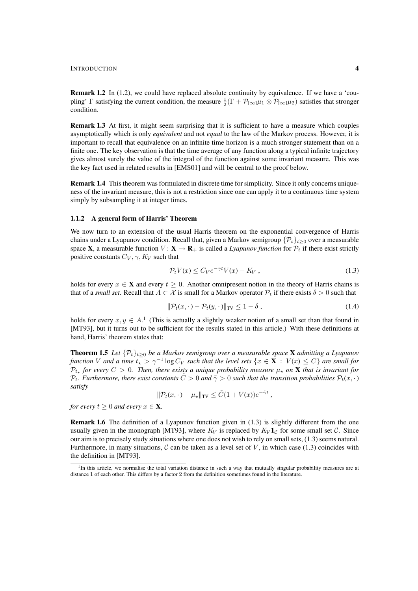Remark 1.2 In (1.2), we could have replaced absolute continuity by equivalence. If we have a 'coupling'  $\Gamma$  satisfying the current condition, the measure  $\frac{1}{2}(\Gamma + \mathcal{P}_{[\infty]}\mu_1 \otimes \mathcal{P}_{[\infty]}\mu_2)$  satisfies that stronger condition.

Remark 1.3 At first, it might seem surprising that it is sufficient to have a measure which couples asymptotically which is only *equivalent* and not *equal* to the law of the Markov process. However, it is important to recall that equivalence on an infinite time horizon is a much stronger statement than on a finite one. The key observation is that the time average of any function along a typical infinite trajectory gives almost surely the value of the integral of the function against some invariant measure. This was the key fact used in related results in [EMS01] and will be central to the proof below.

Remark 1.4 This theorem was formulated in discrete time for simplicity. Since it only concerns uniqueness of the invariant measure, this is not a restriction since one can apply it to a continuous time system simply by subsampling it at integer times.

## 1.1.2 A general form of Harris' Theorem

We now turn to an extension of the usual Harris theorem on the exponential convergence of Harris chains under a Lyapunov condition. Recall that, given a Markov semigroup  $\{\mathcal{P}_t\}_{t\geq0}$  over a measurable space **X**, a measurable function  $V: \mathbf{X} \to \mathbf{R}_{+}$  is called a *Lyapunov function* for  $\mathcal{P}_t$  if there exist strictly positive constants  $C_V$ ,  $\gamma$ ,  $K_V$  such that

$$
\mathcal{P}_t V(x) \le C_V e^{-\gamma t} V(x) + K_V , \qquad (1.3)
$$

holds for every  $x \in \mathbf{X}$  and every  $t \geq 0$ . Another omnipresent notion in the theory of Harris chains is that of a *small set*. Recall that  $A \subset \mathcal{X}$  is small for a Markov operator  $\mathcal{P}_t$  if there exists  $\delta > 0$  such that

$$
\|\mathcal{P}_t(x,\cdot) - \mathcal{P}_t(y,\cdot)\|_{\text{TV}} \le 1 - \delta ,\tag{1.4}
$$

holds for every  $x, y \in A<sup>1</sup>$  (This is actually a slightly weaker notion of a small set than that found in [MT93], but it turns out to be sufficient for the results stated in this article.) With these definitions at hand, Harris' theorem states that:

Theorem 1.5 Let  $\{\mathcal{P}_t\}_{t\geq0}$  be a Markov semigroup over a measurable space **X** admitting a Lyapunov *function* V and a time  $t_{\star} > \gamma^{-1} \log C_V$  such that the level sets  $\{x \in \mathbf{X} : V(x) \le C\}$  are small for  $\mathcal{P}_{t_{\star}}$  for every  $C > 0$ . Then, there exists a unique probability measure  $\mu_{\star}$  on **X** that is invariant for  $\mathcal{P}_t$ . Furthermore, there exist constants  $\tilde{C} > 0$  and  $\tilde{\gamma} > 0$  such that the transition probabilities  $\mathcal{P}_t(x, \cdot)$ *satisfy*

$$
\|\mathcal{P}_t(x,\cdot)-\mu_\star\|_{\text{TV}} \leq \tilde{C}(1+V(x))e^{-\tilde{\gamma}t},
$$

*for every*  $t \geq 0$  *and every*  $x \in \mathbf{X}$ *.* 

Remark 1.6 The definition of a Lyapunov function given in (1.3) is slightly different from the one usually given in the monograph [MT93], where  $K_V$  is replaced by  $K_V 1_C$  for some small set C. Since our aim is to precisely study situations where one does not wish to rely on small sets, (1.3) seems natural. Furthermore, in many situations,  $C$  can be taken as a level set of  $V$ , in which case (1.3) coincides with the definition in [MT93].

<sup>&</sup>lt;sup>1</sup>In this article, we normalise the total variation distance in such a way that mutually singular probability measures are at distance 1 of each other. This differs by a factor 2 from the definition sometimes found in the literature.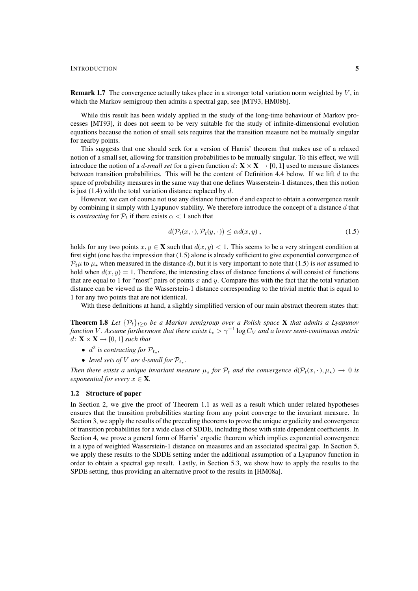**Remark 1.7** The convergence actually takes place in a stronger total variation norm weighted by  $V$ , in which the Markov semigroup then admits a spectral gap, see [MT93, HM08b].

While this result has been widely applied in the study of the long-time behaviour of Markov processes [MT93], it does not seem to be very suitable for the study of infinite-dimensional evolution equations because the notion of small sets requires that the transition measure not be mutually singular for nearby points.

This suggests that one should seek for a version of Harris' theorem that makes use of a relaxed notion of a small set, allowing for transition probabilities to be mutually singular. To this effect, we will introduce the notion of a *d-small set* for a given function  $d: \mathbf{X} \times \mathbf{X} \to [0, 1]$  used to measure distances between transition probabilities. This will be the content of Definition 4.4 below. If we lift  $d$  to the space of probability measures in the same way that one defines Wasserstein-1 distances, then this notion is just (1.4) with the total variation distance replaced by  $d$ .

However, we can of course not use any distance function  $d$  and expect to obtain a convergence result by combining it simply with Lyapunov stability. We therefore introduce the concept of a distance d that is *contracting* for  $P_t$  if there exists  $\alpha < 1$  such that

$$
d(\mathcal{P}_t(x,\cdot),\mathcal{P}_t(y,\cdot)) \le \alpha d(x,y),\tag{1.5}
$$

holds for any two points  $x, y \in \mathbf{X}$  such that  $d(x, y) < 1$ . This seems to be a very stringent condition at first sight (one has the impression that (1.5) alone is already sufficient to give exponential convergence of  $P_t\mu$  to  $\mu_{\star}$  when measured in the distance d), but it is very important to note that (1.5) is *not* assumed to hold when  $d(x, y) = 1$ . Therefore, the interesting class of distance functions d will consist of functions that are equal to 1 for "most" pairs of points x and y. Compare this with the fact that the total variation distance can be viewed as the Wasserstein-1 distance corresponding to the trivial metric that is equal to 1 for any two points that are not identical.

With these definitions at hand, a slightly simplified version of our main abstract theorem states that:

**Theorem 1.8** Let  $\{\mathcal{P}_t\}_{t>0}$  be a Markov semigroup over a Polish space **X** that admits a Lyapunov function V Assume furthermore that there exists  $t_\star > \gamma^{-1}\log C_V$  and a lower semi-continuous metric  $d: \mathbf{X} \times \mathbf{X} \rightarrow [0, 1]$  *such that* 

- $d^2$  *is contracting for*  $\mathcal{P}_{t_{\star}},$
- level sets of V are d-small for  $\mathcal{P}_{t_{\star}}$ .

*Then there exists a unique invariant measure*  $\mu_*$  *for*  $\mathcal{P}_t$  *and the convergence*  $d(\mathcal{P}_t(x, \cdot), \mu_*) \to 0$  *is exponential for every*  $x \in \mathbf{X}$ *.* 

## 1.2 Structure of paper

In Section 2, we give the proof of Theorem 1.1 as well as a result which under related hypotheses ensures that the transition probabilities starting from any point converge to the invariant measure. In Section 3, we apply the results of the preceding theorems to prove the unique ergodicity and convergence of transition probabilities for a wide class of SDDE, including those with state dependent coefficients. In Section 4, we prove a general form of Harris' ergodic theorem which implies exponential convergence in a type of weighted Wasserstein-1 distance on measures and an associated spectral gap. In Section 5, we apply these results to the SDDE setting under the additional assumption of a Lyapunov function in order to obtain a spectral gap result. Lastly, in Section 5.3, we show how to apply the results to the SPDE setting, thus providing an alternative proof to the results in [HM08a].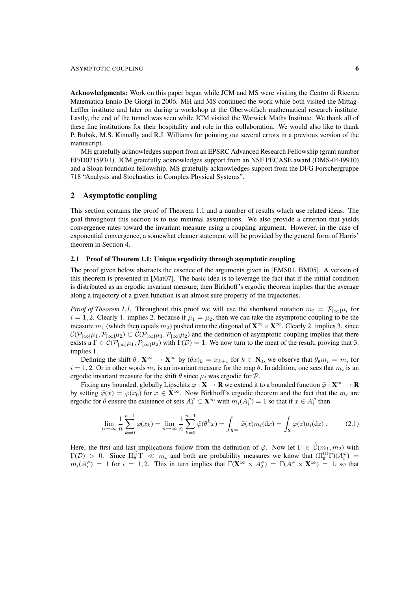#### ASYMPTOTIC COUPLING 6

Acknowledgments: Work on this paper began while JCM and MS were visiting the Centro di Ricerca Matematica Ennio De Giorgi in 2006. MH and MS continued the work while both visited the Mittag-Leffler institute and later on during a workshop at the Oberwolfach mathematical research institute. Lastly, the end of the tunnel was seen while JCM visited the Warwick Maths Institute. We thank all of these fine institutions for their hospitality and role in this collaboration. We would also like to thank P. Bubak, M.S. Kinnally and R.J. Williams for pointing out several errors in a previous version of the manuscript.

MH gratefully acknowledges support from an EPSRC Advanced Research Fellowship (grant number EP/D071593/1). JCM gratefully acknowledges support from an NSF PECASE award (DMS-0449910) and a Sloan foundation fellowship. MS gratefully acknowledges support from the DFG Forschergruppe 718 "Analysis and Stochastics in Complex Physical Systems".

## 2 Asymptotic coupling

This section contains the proof of Theorem 1.1 and a number of results which use related ideas. The goal throughout this section is to use minimal assumptions. We also provide a criterion that yields convergence rates toward the invariant measure using a coupling argument. However, in the case of exponential convergence, a somewhat cleaner statement will be provided by the general form of Harris' theorem in Section 4.

## 2.1 Proof of Theorem 1.1: Unique ergodicity through asymptotic coupling

The proof given below abstracts the essence of the arguments given in [EMS01, BM05]. A version of this theorem is presented in [Mat07]. The basic idea is to leverage the fact that if the initial condition is distributed as an ergodic invariant measure, then Birkhoff's ergodic theorem implies that the average along a trajectory of a given function is an almost sure property of the trajectories.

*Proof of Theorem 1.1.* Throughout this proof we will use the shorthand notation  $m_i = \mathcal{P}_{[\infty]} \mu_i$  for  $i = 1, 2$ . Clearly 1. implies 2. because if  $\mu_1 = \mu_2$ , then we can take the asymptotic coupling to be the measure  $m_1$  (which then equals  $m_2$ ) pushed onto the diagonal of  $\mathbf{X}^\infty \times \mathbf{X}^\infty$ . Clearly 2. implies 3. since  $C(P_{[\infty]}\mu_1, P_{[\infty]}\mu_2) \subset C(P_{[\infty]}\mu_1, P_{[\infty]}\mu_2)$  and the definition of asymptotic coupling implies that there exists a  $\Gamma \in C(\mathcal{P}_{[\infty]} \mu_1, \mathcal{P}_{[\infty]} \mu_2)$  with  $\Gamma(\mathcal{D}) = 1$ . We now turn to the meat of the result, proving that 3. implies 1.

Defining the shift  $\theta: \mathbf{X}^{\infty} \to \mathbf{X}^{\infty}$  by  $(\theta x)_k = x_{k+1}$  for  $k \in \mathbf{N}_0$ , we observe that  $\theta_{\#}m_i = m_i$  for  $i = 1, 2$ . Or in other words  $m_i$  is an invariant measure for the map  $\theta$ . In addition, one sees that  $m_i$  is an ergodic invariant measure for the shift  $\theta$  since  $\mu_i$  was ergodic for  $\mathcal{P}$ .

Fixing any bounded, globally Lipschitz  $\varphi : X \to \mathbf{R}$  we extend it to a bounded function  $\tilde{\varphi} : X^{\infty} \to \mathbf{R}$ by setting  $\tilde{\varphi}(x) = \varphi(x_0)$  for  $x \in \mathbf{X}^{\infty}$ . Now Birkhoff's ergodic theorem and the fact that the  $m_i$  are ergodic for  $\theta$  ensure the existence of sets  $A_i^{\varphi} \subset \mathbf{X}^{\infty}$  with  $m_i(A_i^{\varphi}) = 1$  so that if  $x \in A_i^{\varphi}$  then

$$
\lim_{n \to \infty} \frac{1}{n} \sum_{k=0}^{n-1} \varphi(x_k) = \lim_{n \to \infty} \frac{1}{n} \sum_{k=0}^{n-1} \tilde{\varphi}(\theta^k x) = \int_{\mathbf{X}^\infty} \tilde{\varphi}(x) m_i(\mathrm{d}x) = \int_{\mathbf{X}} \varphi(z) \mu_i(\mathrm{d}z) \,. \tag{2.1}
$$

Here, the first and last implications follow from the definition of  $\tilde{\varphi}$ . Now let  $\Gamma \in \tilde{\mathcal{C}}(m_1, m_2)$  with  $\Gamma(\mathcal{D}) > 0$ . Since  $\Pi_{\#}^{(i)} \Gamma \ll m_i$  and both are probability measures we know that  $(\Pi_{\#}^{(i)} \Gamma)(A_i^{\varphi}) =$  $m_i(A_i^{\varphi}) = 1$  for  $i = 1, 2$ . This in turn implies that  $\Gamma(\mathbf{X}^{\infty} \times A_2^{\varphi}) = \Gamma(A_1^{\varphi} \times \mathbf{X}^{\infty}) = 1$ , so that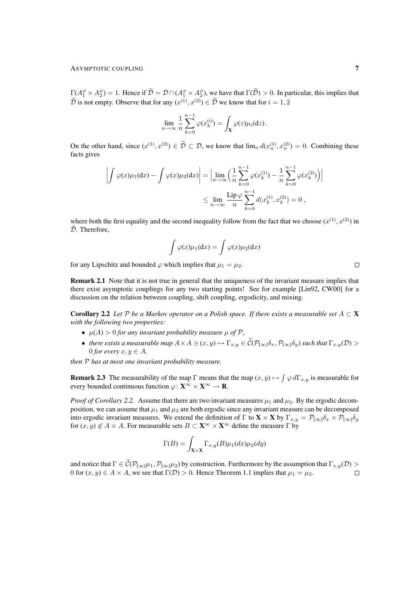$\Gamma(A_1^{\varphi} \times A_2^{\varphi}) = 1$ . Hence if  $\widetilde{\mathcal{D}} = \mathcal{D} \cap (A_1^{\varphi} \times A_2^{\varphi})$ , we have that  $\Gamma(\widetilde{\mathcal{D}}) > 0$ . In particular, this implies that  $\overline{\mathcal{D}}$  is not empty. Observe that for any  $(x^{(1)}, x^{(2)}) \in \overline{\mathcal{D}}$  we know that for  $i = 1, 2$ 

$$
\lim_{n\to\infty}\frac{1}{n}\sum_{k=0}^{n-1}\varphi(x_k^{(i)})=\int_{\mathbf{X}}\varphi(z)\mu_i(\mathrm{d}z).
$$

On the other hand, since  $(x^{(1)}, x^{(2)}) \in \mathcal{D} \subset \mathcal{D}$ , we know that  $\lim_n d(x_n^{(1)}, x_n^{(2)}) = 0$ . Combining these facts gives

$$
\left| \int \varphi(x) \mu_1(dx) - \int \varphi(x) \mu_2(dx) \right| = \left| \lim_{n \to \infty} \left( \frac{1}{n} \sum_{k=0}^{n-1} \varphi(x_k^{(1)}) - \frac{1}{n} \sum_{k=0}^{n-1} \varphi(x_k^{(2)}) \right) \right|
$$
  

$$
\leq \lim_{n \to \infty} \frac{\text{Lip}\,\varphi}{n} \sum_{k=0}^{n-1} d(x_k^{(1)}, x_k^{(2)}) = 0,
$$

where both the first equality and the second inequality follow from the fact that we choose  $(x^{(1)}, x^{(2)})$  in  $D.$  Therefore,

$$
\int \varphi(x)\mu_1(\mathrm{d}x) = \int \varphi(x)\mu_2(\mathrm{d}x)
$$

for any Lipschitz and bounded  $\varphi$  which implies that  $\mu_1 = \mu_2$ .

Remark 2.1 Note that it is not true in general that the uniqueness of the invariant measure implies that there exist asymptotic couplings for any two starting points! See for example [Lin92, CW00] for a discussion on the relation between coupling, shift coupling, ergodicity, and mixing.

**Corollary 2.2** *Let*  $\mathcal P$  *be a Markov operator on a Polish space. If there exists a measurable set*  $A \subset \mathbf X$ *with the following two properties:*

- $\mu(A) > 0$  *for any invariant probability measure*  $\mu$  *of*  $\mathcal{P}$ *,*
- *there exists a measurable map*  $A \times A \ni (x, y) \mapsto \Gamma_{x,y} \in \widetilde{\mathcal{C}}(\mathcal{P}_{[\infty]}\delta_x, \mathcal{P}_{[\infty]}\delta_y)$  *such that*  $\Gamma_{x,y}(\mathcal{D}) >$ 0 *for every*  $x, y \in A$ .

*then* P *has at most one invariant probability measure.*

**Remark 2.3** The measurability of the map  $\Gamma$  means that the map  $(x, y) \mapsto \int \varphi d\Gamma_{x,y}$  is measurable for every bounded continuous function  $\varphi: \mathbf{X}^{\infty} \times \mathbf{X}^{\infty} \to \mathbf{R}$ .

*Proof of Corollary 2.2.* Assume that there are two invariant measures  $\mu_1$  and  $\mu_2$ . By the ergodic decomposition, we can assume that  $\mu_1$  and  $\mu_2$  are both ergodic since any invariant measure can be decomposed into ergodic invariant measures. We extend the definition of Γ to **X** × **X** by  $\Gamma_{x,y} = \mathcal{P}_{[\infty]} \delta_x \times \mathcal{P}_{[\infty]} \delta_y$ for  $(x, y) \notin A \times A$ . For measurable sets  $B \subset \mathbf{X}^{\infty} \times \mathbf{X}^{\infty}$  define the measure  $\Gamma$  by

$$
\Gamma(B) = \int_{\mathbf{X} \times \mathbf{X}} \Gamma_{x,y}(B) \mu_1(dx) \mu_2(dy)
$$

and notice that  $\Gamma \in \widetilde{\mathcal{C}}(\mathcal{P}_{[\infty]} \mu_1, \mathcal{P}_{[\infty]} \mu_2)$  by construction. Furthermore by the assumption that  $\Gamma_{x,y}(\mathcal{D}) > 0$  for  $(x, y) \in A \times A$ , we see that  $\Gamma(\mathcal{D}) > 0$ . Hence Theorem 1.1 implies that  $\mu_1 = \mu_2$ . 0 for  $(x, y) \in A \times A$ , we see that  $\Gamma(\mathcal{D}) > 0$ . Hence Theorem 1.1 implies that  $\mu_1 = \mu_2$ .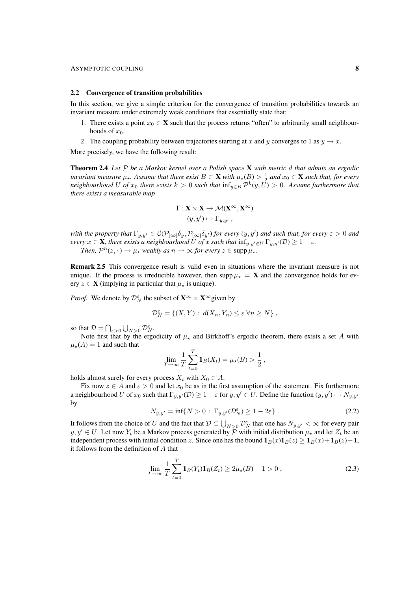#### 2.2 Convergence of transition probabilities

In this section, we give a simple criterion for the convergence of transition probabilities towards an invariant measure under extremely weak conditions that essentially state that:

- 1. There exists a point  $x_0 \in \mathbf{X}$  such that the process returns "often" to arbitrarily small neighbourhoods of  $x_0$ .
- 2. The coupling probability between trajectories starting at x and y converges to 1 as  $y \to x$ .

More precisely, we have the following result:

Theorem 2.4 *Let* P *be a Markov kernel over a Polish space* X *with metric* d *that admits an ergodic invariant measure*  $\mu_{\star}$ . Assume that there exist  $B \subset X$  with  $\mu_{\star}(B) > \frac{1}{2}$  and  $x_0 \in X$  such that, for every *neighbourhood* U of  $x_0$  there exists  $k > 0$  such that  $\inf_{y \in B} \mathcal{P}^k(y, U) > 0$ . Assume furthermore that *there exists a measurable map*

$$
\Gamma: \mathbf{X} \times \mathbf{X} \to \mathcal{M}(\mathbf{X}^{\infty}, \mathbf{X}^{\infty})
$$

$$
(y, y') \mapsto \Gamma_{y, y'} ,
$$

*with the property that*  $\Gamma_{y,y'} \in C(\mathcal{P}_{[\infty]}\delta_y, \mathcal{P}_{[\infty]}\delta_{y'})$  *for every*  $(y, y')$  *and such that, for every*  $\varepsilon > 0$  *and every*  $x \in \mathbf{X}$ *, there exists a neighbourhood* U *of* x *such that*  $\inf_{y,y' \in U} \Gamma_{y,y'}(\mathcal{D}) \geq 1 - \varepsilon$ *. Then,*  $\mathcal{P}^n(z, \cdot) \to \mu_*$  *weakly as*  $n \to \infty$  *for every*  $z \in \text{supp }\mu_*$ *.* 

Remark 2.5 This convergence result is valid even in situations where the invariant measure is not unique. If the process is irreducible however, then supp  $\mu_{\star} = X$  and the convergence holds for every  $z \in \mathbf{X}$  (implying in particular that  $\mu_{\star}$  is unique).

*Proof.* We denote by  $\mathcal{D}_N^{\varepsilon}$  the subset of  $\mathbf{X}^{\infty} \times \mathbf{X}^{\infty}$  given by

$$
\mathcal{D}_N^{\varepsilon} = \{(X, Y) : d(X_n, Y_n) \le \varepsilon \,\forall n \ge N\},\,
$$

so that  $\mathcal{D} = \bigcap_{\varepsilon > 0} \bigcup_{N > 0} \mathcal{D}_N^{\varepsilon}$ .

Note first that by the ergodicity of  $\mu_{\star}$  and Birkhoff's ergodic theorem, there exists a set A with  $\mu_{\star}(A) = 1$  and such that

$$
\lim_{T \to \infty} \frac{1}{T} \sum_{t=0}^{T} \mathbf{1}_{B}(X_t) = \mu_{\star}(B) > \frac{1}{2},
$$

holds almost surely for every process  $X_t$  with  $X_0 \in A$ .

Fix now  $z \in A$  and  $\varepsilon > 0$  and let  $x_0$  be as in the first assumption of the statement. Fix furthermore a neighbourhood U of  $x_0$  such that  $\Gamma_{y,y'}(\mathcal{D}) \geq 1 - \varepsilon$  for  $y, y' \in U$ . Define the function  $(y, y') \mapsto N_{y,y'}$ by

$$
N_{y,y'} = \inf\{N > 0 \,:\, \Gamma_{y,y'}(\mathcal{D}_N^{\varepsilon}) \ge 1 - 2\varepsilon\} \,. \tag{2.2}
$$

It follows from the choice of U and the fact that  $D \subset \bigcup_{N>0} \mathcal{D}_N^{\varepsilon}$  that one has  $N_{y,y'} < \infty$  for every pair  $y, y' \in U$ . Let now  $Y_t$  be a Markov process generated by  $\mathcal P$  with initial distribution  $\mu_*$  and let  $Z_t$  be an independent process with initial condition z. Since one has the bound  $1_B(x)1_B(z) \ge 1_B(x)+1_B(z)-1$ , it follows from the definition of A that

$$
\lim_{T \to \infty} \frac{1}{T} \sum_{t=0}^{T} \mathbf{1}_{B}(Y_{t}) \mathbf{1}_{B}(Z_{t}) \ge 2\mu_{\star}(B) - 1 > 0 ,
$$
\n(2.3)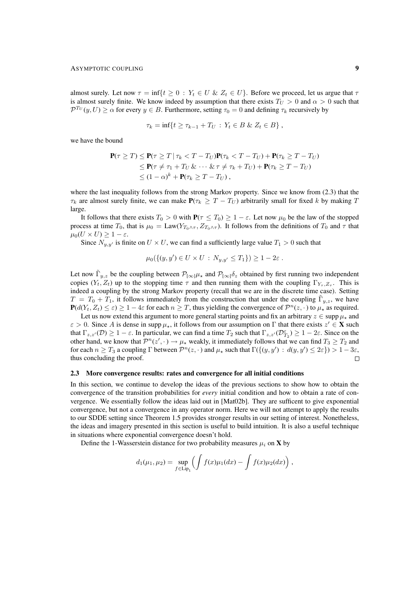almost surely. Let now  $\tau = \inf\{t \geq 0 : Y_t \in U \& Z_t \in U\}$ . Before we proceed, let us argue that  $\tau$ is almost surely finite. We know indeed by assumption that there exists  $T_U > 0$  and  $\alpha > 0$  such that  $\mathcal{P}^{T_U}(y,U) \geq \alpha$  for every  $y \in B$ . Furthermore, setting  $\tau_0 = 0$  and defining  $\tau_k$  recursively by

$$
\tau_k = \inf\{t \geq \tau_{k-1} + T_U : Y_t \in B \& Z_t \in B\},\,
$$

we have the bound

$$
\mathbf{P}(\tau \geq T) \leq \mathbf{P}(\tau \geq T | \tau_k < T - T_U)\mathbf{P}(\tau_k < T - T_U) + \mathbf{P}(\tau_k \geq T - T_U) \\
\leq \mathbf{P}(\tau \neq \tau_1 + T_U \& \cdots \& \tau \neq \tau_k + T_U) + \mathbf{P}(\tau_k \geq T - T_U) \\
\leq (1 - \alpha)^k + \mathbf{P}(\tau_k \geq T - T_U) ,
$$

where the last inequality follows from the strong Markov property. Since we know from (2.3) that the  $\tau_k$  are almost surely finite, we can make  $P(\tau_k \geq T - T_U)$  arbitrarily small for fixed k by making T large.

It follows that there exists  $T_0 > 0$  with  $P(\tau \leq T_0) \geq 1 - \varepsilon$ . Let now  $\mu_0$  be the law of the stopped process at time  $T_0$ , that is  $\mu_0 = \text{Law}(Y_{T_0 \wedge \tau}, Z_{T_0 \wedge \tau})$ . It follows from the definitions of  $T_0$  and  $\tau$  that  $\mu_0(U \times U) \geq 1 - \varepsilon.$ 

Since  $N_{y,y'}$  is finite on  $U \times U$ , we can find a sufficiently large value  $T_1 > 0$  such that

$$
\mu_0(\{(y, y') \in U \times U : N_{y, y'} \le T_1\}) \ge 1 - 2\varepsilon.
$$

Let now  $\tilde{\Gamma}_{y,z}$  be the coupling between  $\mathcal{P}_{[\infty]}\mu_{\star}$  and  $\mathcal{P}_{[\infty]}\delta_z$  obtained by first running two independent copies  $(Y_t, Z_t)$  up to the stopping time  $\tau$  and then running them with the coupling  $\Gamma_{Y_\tau, Z_\tau}$ . This is indeed a coupling by the strong Markov property (recall that we are in the discrete time case). Setting  $T = T_0 + T_1$ , it follows immediately from the construction that under the coupling  $\tilde{\Gamma}_{y,z}$ , we have  $P(d(Y_t, Z_t) \le \varepsilon) \ge 1 - 4\varepsilon$  for each  $n \ge T$ , thus yielding the convergence of  $\mathcal{P}^n(z, \cdot)$  to  $\mu_*$  as required.

Let us now extend this argument to more general starting points and fix an arbitrary  $z \in \text{supp }\mu_\star$  and  $\varepsilon > 0$ . Since A is dense in supp  $\mu_{\star}$ , it follows from our assumption on  $\Gamma$  that there exists  $z' \in \mathbf{X}$  such that  $\Gamma_{z,z'}(\mathcal{D}) \geq 1 - \varepsilon$ . In particular, we can find a time  $T_2$  such that  $\Gamma_{z,z'}(\mathcal{D}_{T_2}^{\varepsilon}) \geq 1 - 2\varepsilon$ . Since on the other hand, we know that  $\mathcal{P}^n(z',\cdot) \to \mu_\star$  weakly, it immediately follows that we can find  $T_3 \geq T_2$  and for each  $n \geq T_3$  a coupling  $\Gamma$  between  $\mathcal{P}^n(z, \cdot)$  and  $\mu_*$  such that  $\Gamma(\{(y, y') : d(y, y') \leq 2\varepsilon\}) > 1 - 3\varepsilon$ , thus concluding the proof.  $\Box$ 

#### 2.3 More convergence results: rates and convergence for all initial conditions

In this section, we continue to develop the ideas of the previous sections to show how to obtain the convergence of the transition probabilities for *every* initial condition and how to obtain a rate of convergence. We essentially follow the ideas laid out in [Mat02b]. They are sufficent to give exponential convergence, but not a convergence in any operator norm. Here we will not attempt to apply the results to our SDDE setting since Theorem 1.5 provides stronger results in our setting of interest. Nonetheless, the ideas and imagery presented in this section is useful to build intuition. It is also a useful technique in situations where exponential convergence doesn't hold.

Define the 1-Wasserstein distance for two probability measures  $\mu_i$  on **X** by

$$
d_1(\mu_1, \mu_2) = \sup_{f \in \text{Lip}_1} \left( \int f(x) \mu_1(dx) - \int f(x) \mu_2(dx) \right),
$$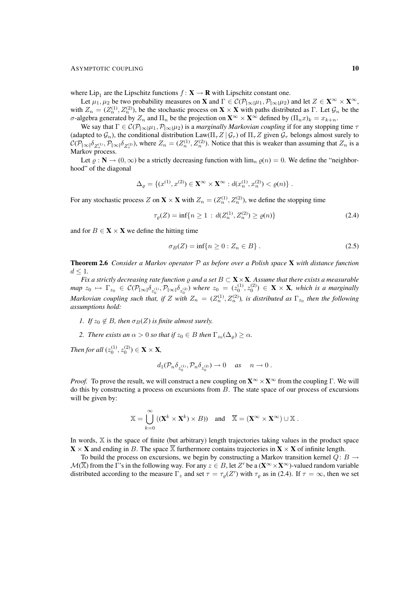#### ASYMPTOTIC COUPLING 10

where  $\text{Lip}_1$  are the Lipschitz functions  $f : \mathbf{X} \to \mathbf{R}$  with Lipschitz constant one.

Let  $\mu_1, \mu_2$  be two probability measures on **X** and  $\Gamma \in \mathcal{C}(\mathcal{P}_{[\infty]}\mu_1, \mathcal{P}_{[\infty]}\mu_2)$  and let  $Z \in \mathbf{X}^{\infty} \times \mathbf{X}^{\infty}$ , with  $Z_n = (Z_n^{(1)}, Z_n^{(2)})$ , be the stochastic process on  $X \times X$  with paths distributed as  $\Gamma$ . Let  $\mathcal{G}_n$  be the σ-algebra generated by  $Z_n$  and  $\Pi_n$  be the projection on  $\mathbf{X}^{\infty} \times \mathbf{X}^{\infty}$  defined by  $(\Pi_n x)_k = x_{k+n}$ .

We say that  $\Gamma \in C(\mathcal{P}_{[\infty]} \mu_1, \mathcal{P}_{[\infty]} \mu_2)$  is a *marginally Markovian coupling* if for any stopping time  $\tau$ (adapted to  $\mathcal{G}_n$ ), the conditional distribution Law( $\Pi_\tau Z | \mathcal{G}_\tau$ ) of  $\Pi_\tau Z$  given  $\mathcal{G}_\tau$  belongs almost surely to  $\mathcal{C}(\mathcal{P}_{\llbracket \infty \rrbracket} \delta_{Z_{\tau}^{(1)}}, \mathcal{P}_{\llbracket \infty \rrbracket} \delta_{Z_{\tau}^{(2)}})$ , where  $Z_n = (Z_n^{(1)}, Z_n^{(2)})$ . Notice that this is weaker than assuming that  $Z_n$  is a Markov process.

Let  $\varrho : \mathbb{N} \to (0, \infty)$  be a strictly decreasing function with  $\lim_{n} \varrho(n) = 0$ . We define the "neighborhood" of the diagonal

$$
\Delta_{\varrho} = \{ (x^{(1)}, x^{(2)}) \in \mathbf{X}^{\infty} \times \mathbf{X}^{\infty} : d(x_n^{(1)}, x_n^{(2)}) < \varrho(n) \} .
$$

For any stochastic process Z on  $\mathbf{X} \times \mathbf{X}$  with  $Z_n = (Z_n^{(1)}, Z_n^{(2)})$ , we define the stopping time

$$
\tau_{\varrho}(Z) = \inf\{n \ge 1 \, : \, d(Z_n^{(1)}, Z_n^{(2)}) \ge \varrho(n)\}\tag{2.4}
$$

and for  $B \in \mathbf{X} \times \mathbf{X}$  we define the hitting time

$$
\sigma_B(Z) = \inf\{n \ge 0 : Z_n \in B\} \,. \tag{2.5}
$$

Theorem 2.6 *Consider a Markov operator* P *as before over a Polish space* X *with distance function*  $d \leq 1$ .

*Fix a strictly decreasing rate function*  $\rho$  *and a set*  $B \subset \mathbf{X} \times \mathbf{X}$ *. Assume that there exists a measurable*  $map \ z_0 \ \mapsto \ \Gamma_{z_0} \ \in \ \mathcal{C}(\mathcal{P}_{[\infty]}\delta_{z_0^{(1)}}, \mathcal{P}_{[\infty]}\delta_{z_0^{(2)}})$  where  $z_0 \ = \ (z_0^{(1)}, z_0^{(2)}) \ \in \ \mathbf{X} \times \mathbf{X}$ , which is a marginally *Markovian coupling such that, if* Z with  $Z_n = (Z_n^{(1)}, Z_n^{(2)})$ , is distributed as  $\Gamma_{z_0}$  then the following *assumptions hold:*

- *1. If*  $z_0 \notin B$ *, then*  $\sigma_B(Z)$  *is finite almost surely.*
- 2. *There exists an*  $\alpha > 0$  *so that if*  $z_0 \in B$  *then*  $\Gamma_{z_0}(\Delta_{\varrho}) \ge \alpha$ *.*

*Then for all*  $(z_0^{(1)}, z_0^{(2)}) \in \mathbf{X} \times \mathbf{X}$ *,* 

$$
d_1(\mathcal{P}_n \delta_{z_0^{(1)}}, \mathcal{P}_n \delta_{z_0^{(2)}}) \to 0 \quad \text{as} \quad n \to 0.
$$

*Proof.* To prove the result, we will construct a new coupling on  $\mathbf{X}^{\infty} \times \mathbf{X}^{\infty}$  from the coupling Γ. We will do this by constructing a process on excursions from  $B$ . The state space of our process of excursions will be given by:

$$
\mathbb{X} = \bigcup_{k=0}^{\infty} ((\mathbf{X}^{k} \times \mathbf{X}^{k}) \times B)) \text{ and } \overline{\mathbb{X}} = (\mathbf{X}^{\infty} \times \mathbf{X}^{\infty}) \cup \mathbb{X} .
$$

In words, X is the space of finite (but arbitrary) length trajectories taking values in the product space  $X \times X$  and ending in B. The space  $\overline{X}$  furthermore contains trajectories in  $X \times X$  of infinite length.

To build the process on excursions, we begin by constructing a Markov transition kernel  $Q: B \rightarrow$  $\mathcal{M}(\overline{X})$  from the  $\overline{\Gamma}$ 's in the following way. For any  $z \in B$ , let  $Z'$  be a  $(\mathbf{X}^{\infty} \times \mathbf{X}^{\infty})$ -valued random variable distributed according to the measure  $\Gamma_z$  and set  $\tau = \tau_\varrho(Z')$  with  $\tau_\varrho$  as in (2.4). If  $\tau = \infty$ , then we set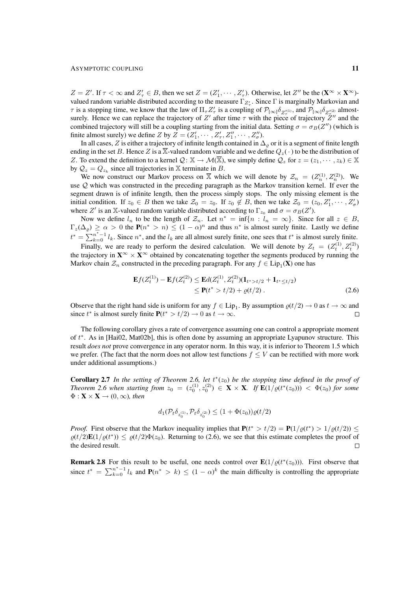#### ASYMPTOTIC COUPLING 11

 $Z = Z'$ . If  $\tau < \infty$  and  $Z'_{\tau} \in B$ , then we set  $Z = (Z'_1, \dots, Z'_{\tau})$ . Otherwise, let  $Z''$  be the  $(\mathbf{X}^{\infty} \times \mathbf{X}^{\infty})$ valued random variable distributed according to the measure  $\Gamma_{Z'_{\tau}}$ . Since  $\Gamma$  is marginally Markovian and  $\tau$  is a stopping time, we know that the law of  $\Pi_{\tau} Z_{\tau}^{\prime}$  is a coupling of  $\mathcal{P}_{[\infty]} \delta_{Z_{\tau}^{(1)}},$  and  $\mathcal{P}_{[\infty]} \delta_{Z_{\tau}^{(2)}}$  almostsurely. Hence we can replace the trajectory of Z' after time  $\tau$  with the piece of trajectory  $\bar{Z}$ " and the combined trajectory will still be a coupling starting from the initial data. Setting  $\sigma = \sigma_B(Z'')$  (which is finite almost surely) we define Z by  $Z = (Z'_1, \dots, Z'_\tau, Z''_1, \dots, Z''_\sigma)$ .

In all cases, Z is either a trajectory of infinite length contained in  $\Delta_{\rho}$  or it is a segment of finite length ending in the set B. Hence Z is a  $\overline{\mathbb{X}}$ -valued random variable and we define  $Q_z(\cdot)$  to be the distribution of Z. To extend the definition to a kernel  $\mathcal{Q} \colon \mathbb{X} \to \mathcal{M}(\overline{\mathbb{X}})$ , we simply define  $\mathcal{Q}_z$  for  $z = (z_1, \dots, z_k) \in \mathbb{X}$ by  $\mathcal{Q}_z = Q_{z_k}$  since all trajectories in X terminate in B.

We now construct our Markov process on  $\overline{X}$  which we will denote by  $\mathcal{Z}_n = (Z_n^{(1)}, Z_n^{(2)})$ . We use Q which was constructed in the preceding paragraph as the Markov transition kernel. If ever the segment drawn is of infinite length, then the process simply stops. The only missing element is the initial condition. If  $z_0 \in B$  then we take  $\mathcal{Z}_0 = z_0$ . If  $z_0 \notin B$ , then we take  $\mathcal{Z}_0 = (z_0, Z'_1, \dots, Z'_\sigma)$ where Z' is an X-valued random variable distributed according to  $\Gamma_{z_0}$  and  $\sigma = \sigma_B(Z')$ .

Now we define  $l_n$  to be the length of  $\mathcal{Z}_n$ . Let  $n^* = \inf\{n : l_n = \infty\}$ . Since for all  $z \in B$ ,  $\Gamma_z(\Delta_\varrho) \geq \alpha > 0$  the  $P(n^* > n) \leq (1 - \alpha)^n$  and thus  $n^*$  is almost surely finite. Lastly we define  $t^* = \sum_{k=0}^{n^*-1} l_k$ . Since  $n^*$ , and the  $l_k$  are all almost surely finite, one sees that  $t^*$  is almost surely finite.

Finally, we are ready to perform the desired calculation. We will denote by  $Z_t = (Z_t^{(1)}, Z_t^{(2)})$ the trajectory in  $X^{\infty} \times X^{\infty}$  obtained by concatenating together the segments produced by running the Markov chain  $\mathcal{Z}_n$  constructed in the preceding paragraph. For any  $f \in Lip_1(\mathbf{X})$  one has

$$
\mathbf{E}f(Z_t^{(1)}) - \mathbf{E}f(Z_t^{(2)}) \le \mathbf{E}d(Z_t^{(1)}, Z_t^{(2)})(\mathbf{1}_{t^* > t/2} + \mathbf{1}_{t^* \le t/2})
$$
  
\n
$$
\le \mathbf{P}(t^* > t/2) + \varrho(t/2).
$$
\n(2.6)

Observe that the right hand side is uniform for any  $f \in Lip_1$ . By assumption  $\rho(t/2) \to 0$  as  $t \to \infty$  and since  $t^*$  is almost surely finite  $P(t^* > t/2) \rightarrow 0$  as  $t \rightarrow \infty$ .  $\Box$ 

The following corollary gives a rate of convergence assuming one can control a appropriate moment of  $t^*$ . As in [Hai02, Mat02b], this is often done by assuming an appropriate Lyapunov structure. This result *does not* prove convergence in any operator norm. In this way, it is inferior to Theorem 1.5 which we prefer. (The fact that the norm does not allow test functions  $f \leq V$  can be rectified with more work under additional assumptions.)

**Corollary 2.7** In the setting of Theorem 2.6, let  $t^*(z_0)$  be the stopping time defined in the proof of *Theorem 2.6 when starting from*  $z_0 = (z_0^{(1)}, z_0^{(2)}) \in \mathbf{X} \times \mathbf{X}$ . If  $\mathbf{E}(1/\varrho(t^*(z_0))) < \Phi(z_0)$  for some  $\Phi: \mathbf{X} \times \mathbf{X} \rightarrow (0, \infty)$ *, then* 

$$
d_1(\mathcal{P}_t \delta_{z_0^{(1)}}, \mathcal{P}_t \delta_{z_0^{(2)}}) \le (1 + \Phi(z_0)) \varrho(t/2)
$$

*Proof.* First observe that the Markov inequality implies that  $P(t^* > t/2) = P(1/\varrho(t^*) > 1/\varrho(t/2)) \le$  $\varrho(t/2)\mathbf{E}(1/\varrho(t^*)) \leq \varrho(t/2)\Phi(z_0)$ . Returning to (2.6), we see that this estimate completes the proof of the desired result.  $\Box$ 

**Remark 2.8** For this result to be useful, one needs control over  $\mathbf{E}(1/\varrho(t^*(z_0)))$ . First observe that since  $t^* = \sum_{k=0}^{n^*-1} l_k$  and  $\mathbf{P}(n^* > k) \le (1 - \alpha)^k$  the main difficulty is controlling the appropriate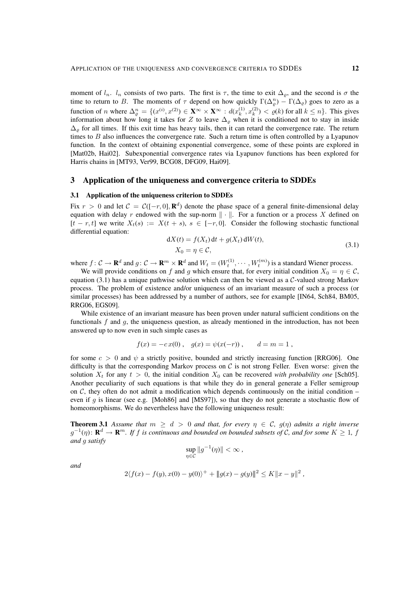moment of  $l_n$ .  $l_n$  consists of two parts. The first is  $\tau$ , the time to exit  $\Delta_{\rho}$ , and the second is  $\sigma$  the time to return to B. The moments of  $\tau$  depend on how quickly  $\Gamma(\Delta_{\rho}^{n}) - \Gamma(\Delta_{\rho})$  goes to zero as a function of *n* where  $\Delta_{\varrho}^{n} = \{(x^{(i)}, x^{(2)}) \in \mathbf{X}^{\infty} \times \mathbf{X}^{\infty} : d(x_{k}^{(1)}, x_{k}^{(2)}) < \varrho(k)$  for all  $k \leq n\}$ . This gives information about how long it takes for Z to leave  $\Delta_{\varrho}$  when it is conditioned not to stay in inside  $\Delta_{\rho}$  for all times. If this exit time has heavy tails, then it can retard the convergence rate. The return times to  $B$  also influences the convergence rate. Such a return time is often controlled by a Lyapunov function. In the context of obtaining exponential convergence, some of these points are explored in [Mat02b, Hai02]. Subexponential convergence rates via Lyapunov functions has been explored for Harris chains in [MT93, Ver99, BCG08, DFG09, Hai09].

## 3 Application of the uniqueness and convergence criteria to SDDEs

## 3.1 Application of the uniqueness criterion to SDDEs

Fix  $r > 0$  and let  $C = C([-r, 0], \mathbf{R}^d)$  denote the phase space of a general finite-dimensional delay equation with delay r endowed with the sup-norm  $\|\cdot\|$ . For a function or a process X defined on  $[t - r, t]$  we write  $X_t(s) := X(t + s), s \in [-r, 0]$ . Consider the following stochastic functional differential equation:

$$
dX(t) = f(X_t) dt + g(X_t) dW(t),
$$
  
\n
$$
X_0 = \eta \in \mathcal{C},
$$
\n(3.1)

where  $f: \mathcal{C} \to \mathbf{R}^d$  and  $g: \mathcal{C} \to \mathbf{R}^m \times \mathbf{R}^d$  and  $W_t = (W_t^{(1)}, \dots, W_t^{(m)})$  is a standard Wiener process.

We will provide conditions on f and g which ensure that, for every initial condition  $X_0 = \eta \in \mathcal{C}$ , equation (3.1) has a unique pathwise solution which can then be viewed as a  $C$ -valued strong Markov process. The problem of existence and/or uniqueness of an invariant measure of such a process (or similar processes) has been addressed by a number of authors, see for example [IN64, Sch84, BM05, RRG06, EGS09].

While existence of an invariant measure has been proven under natural sufficient conditions on the functionals  $f$  and  $g$ , the uniqueness question, as already mentioned in the introduction, has not been answered up to now even in such simple cases as

$$
f(x) = -cx(0)
$$
,  $g(x) = \psi(x(-r))$ ,  $d = m = 1$ ,

for some  $c > 0$  and  $\psi$  a strictly positive, bounded and strictly increasing function [RRG06]. One difficulty is that the corresponding Markov process on  $\mathcal C$  is not strong Feller. Even worse: given the solution  $X_t$  for any  $t > 0$ , the initial condition  $X_0$  can be recovered *with probability one* [Sch05]. Another peculiarity of such equations is that while they do in general generate a Feller semigroup on  $\mathcal{C}$ , they often do not admit a modification which depends continuously on the initial condition – even if q is linear (see e.g. [Moh86] and [MS97]), so that they do not generate a stochastic flow of homeomorphisms. We do nevertheless have the following uniqueness result:

**Theorem 3.1** Assume that  $m \geq d > 0$  and that, for every  $\eta \in C$ ,  $g(\eta)$  admits a right inverse  $g^{-1}(\eta)$ :  $\mathbf{R}^d \to \mathbf{R}^m$ . If f is continuous and bounded on bounded subsets of C, and for some  $K \geq 1$ , f *and* g *satisfy*

$$
\sup_{\eta \in \mathcal{C}} \|g^{-1}(\eta)\| < \infty,
$$

*and*

$$
2\langle f(x) - f(y), x(0) - y(0) \rangle^{+} + ||g(x) - g(y)||^{2} \leq K ||x - y||^{2},
$$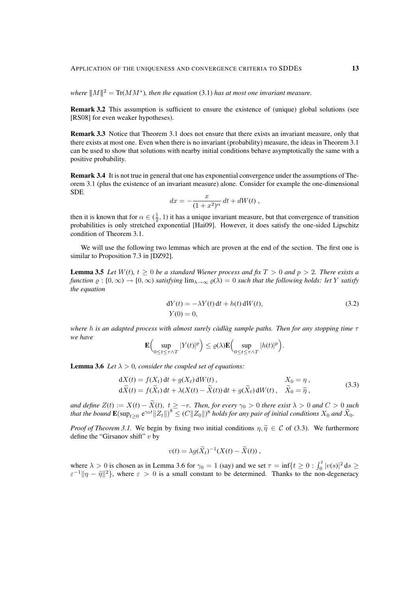*where*  $||M||^2 = \text{Tr}(MM^*)$ , then the equation (3.1) has at most one invariant measure.

Remark 3.2 This assumption is sufficient to ensure the existence of (unique) global solutions (see [RS08] for even weaker hypotheses).

Remark 3.3 Notice that Theorem 3.1 does not ensure that there exists an invariant measure, only that there exists at most one. Even when there is no invariant (probability) measure, the ideas in Theorem 3.1 can be used to show that solutions with nearby initial conditions behave asymptotically the same with a positive probability.

Remark 3.4 It is not true in general that one has exponential convergence under the assumptions of Theorem 3.1 (plus the existence of an invariant measure) alone. Consider for example the one-dimensional SDE

$$
dx = -\frac{x}{(1+x^2)^{\alpha}} dt + dW(t),
$$

then it is known that for  $\alpha \in (\frac{1}{2}, 1)$  it has a unique invariant measure, but that convergence of transition probabilities is only stretched exponential [Hai09]. However, it does satisfy the one-sided Lipschitz condition of Theorem 3.1.

We will use the following two lemmas which are proven at the end of the section. The first one is similar to Proposition 7.3 in [DZ92].

**Lemma 3.5** *Let*  $W(t)$ *,*  $t \geq 0$  *be a standard Wiener process and fix*  $T > 0$  *and*  $p > 2$ *. There exists a function*  $\varrho : [0, \infty) \to [0, \infty)$  *satisfying*  $\lim_{\lambda \to \infty} \varrho(\lambda) = 0$  *such that the following holds: let* Y *satisfy the equation*

$$
dY(t) = -\lambda Y(t) dt + h(t) dW(t),
$$
\n(3.2)  
\n
$$
Y(0) = 0,
$$

*where* h is an adapted process with almost surely càdlàg sample paths. Then for any stopping time  $\tau$ *we have*

$$
\mathbf{E}\Big(\underset{0\leq t\leq \tau\wedge T}{\sup} |Y(t)|^p\Big)\leq \varrho(\lambda)\mathbf{E}\Big(\underset{0\leq t\leq \tau\wedge T}{\sup} |h(t)|^p\Big).
$$

**Lemma 3.6** *Let*  $\lambda > 0$ *, consider the coupled set of equations:* 

$$
dX(t) = f(X_t) dt + g(X_t) dW(t), \qquad X_0 = \eta,
$$
  
\n
$$
d\tilde{X}(t) = f(\tilde{X}_t) dt + \lambda (X(t) - \tilde{X}(t)) dt + g(\tilde{X}_t) dW(t), \quad \tilde{X}_0 = \tilde{\eta},
$$
\n(3.3)

*and define*  $Z(t) := X(t) - X(t), t \ge -r$ *. Then, for every*  $\gamma_0 > 0$  *there exist*  $\lambda > 0$  *and*  $C > 0$  *such that the bound*  $\mathbf{E}(\sup_{t\geq0}e^{\gamma_0t}\|\tilde{Z_t}\|)^8\leq (C\|Z_0\|)^8$  *holds for any pair of initial conditions*  $X_0$  *and*  $\widetilde{X}_0$ *.* 

*Proof of Theorem 3.1.* We begin by fixing two initial conditions  $\eta, \tilde{\eta} \in C$  of (3.3). We furthermore define the "Girsanov shift"  $v$  by

$$
v(t) = \lambda g(\widetilde{X}_t)^{-1}(X(t) - \widetilde{X}(t)),
$$

where  $\lambda > 0$  is chosen as in Lemma 3.6 for  $\gamma_0 = 1$  (say) and we set  $\tau = \inf\{t \ge 0 : \int_0^t |v(s)|^2 ds \ge$  $\epsilon^{-1} \|\eta - \tilde{\eta}\|^2$ , where  $\epsilon > 0$  is a small constant to be determined. Thanks to the non-degeneracy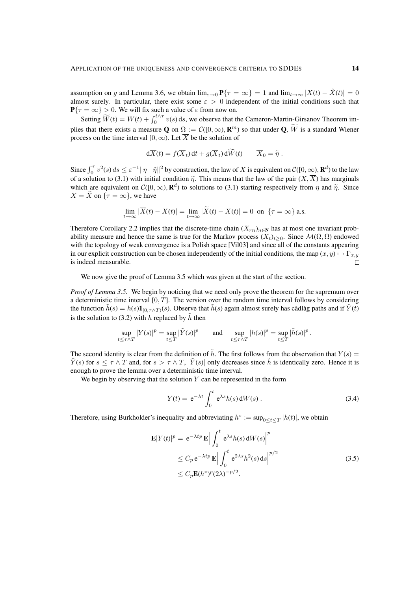assumption on g and Lemma 3.6, we obtain  $\lim_{\varepsilon \to 0} \mathbf{P}\{\tau = \infty\} = 1$  and  $\lim_{t \to \infty} |X(t) - \tilde{X}(t)| = 0$ almost surely. In particular, there exist some  $\varepsilon > 0$  independent of the initial conditions such that  $P\{\tau = \infty\} > 0$ . We will fix such a value of  $\varepsilon$  from now on.

Setting  $\widetilde{W}(t) = W(t) + \int_0^{t \wedge \tau} v(s) \, ds$ , we observe that the Cameron-Martin-Girsanov Theorem implies that there exists a measure **Q** on  $\Omega := \mathcal{C}([0,\infty), \mathbb{R}^m)$  so that under **Q**,  $\overline{W}$  is a standard Wiener process on the time interval [0,  $\infty$ ). Let  $\overline{X}$  be the solution of

$$
d\overline{X}(t) = f(\overline{X}_t) dt + g(\overline{X}_t) d\widetilde{W}(t) \qquad \overline{X}_0 = \widetilde{\eta}.
$$

Since  $\int_0^{\tau} v^2(s) ds \leq \varepsilon^{-1} ||\eta - \tilde{\eta}||^2$  by construction, the law of  $\overline{X}$  is equivalent on  $\mathcal{C}([0,\infty), \mathbf{R}^d)$  to the law of a solution to (3.1) with initial condition  $\tilde{\eta}$ . This means that the law of the pair  $(X,\overline{X})$  has marginals which are equivalent on  $\mathcal{C}([0,\infty), \mathbf{R}^d)$  to solutions to (3.1) starting respectively from  $\eta$  and  $\tilde{\eta}$ . Since  $\overline{Y} - \tilde{Y}$  on  $\{\tau = \infty\}$  we have  $\overline{X} = \widetilde{X}$  on  $\{\tau = \infty\}$ , we have

$$
\lim_{t \to \infty} |\overline{X}(t) - X(t)| = \lim_{t \to \infty} |\widetilde{X}(t) - X(t)| = 0 \text{ on } \{\tau = \infty\} \text{ a.s.}
$$

Therefore Corollary 2.2 implies that the discrete-time chain  $(X_{rn})_{n\in\mathbb{N}}$  has at most one invariant probability measure and hence the same is true for the Markov process  $(X_t)_{t\geq0}$ . Since  $\mathcal{M}(\Omega,\Omega)$  endowed with the topology of weak convergence is a Polish space [Vil03] and since all of the constants appearing in our explicit construction can be chosen independently of the initial conditions, the map  $(x, y) \mapsto \Gamma_{x,y}$ is indeed measurable.  $\Box$ 

We now give the proof of Lemma 3.5 which was given at the start of the section.

*Proof of Lemma 3.5.* We begin by noticing that we need only prove the theorem for the supremum over a deterministic time interval  $[0, T]$ . The version over the random time interval follows by considering the function  $h(s) = h(s) \mathbf{1}_{[0,\tau \wedge T)}(s)$ . Observe that  $h(s)$  again almost surely has càdlàg paths and if  $Y(t)$ is the solution to (3.2) with h replaced by  $\tilde{h}$  then

$$
\sup_{t \leq \tau \wedge T} |Y(s)|^p = \sup_{t \leq T} |\tilde{Y}(s)|^p \quad \text{and} \quad \sup_{t \leq \tau \wedge T} |h(s)|^p = \sup_{t \leq T} |\tilde{h}(s)|^p.
$$

The second identity is clear from the definition of  $\tilde{h}$ . The first follows from the observation that  $Y(s)$  =  $\hat{Y}(s)$  for  $s \leq \tau \wedge T$  and, for  $s > \tau \wedge T$ ,  $|\hat{Y}(s)|$  only decreases since  $\hat{h}$  is identically zero. Hence it is enough to prove the lemma over a deterministic time interval.

We begin by observing that the solution  $Y$  can be represented in the form

$$
Y(t) = e^{-\lambda t} \int_0^t e^{\lambda s} h(s) dW(s).
$$
 (3.4)

Therefore, using Burkholder's inequality and abbreviating  $h^* := \sup_{0 \le t \le T} |h(t)|$ , we obtain

$$
\mathbf{E}|Y(t)|^{p} = e^{-\lambda t p} \mathbf{E} \Big| \int_{0}^{t} e^{\lambda s} h(s) dW(s) \Big|^{p}
$$
  
\n
$$
\leq C_{p} e^{-\lambda t p} \mathbf{E} \Big| \int_{0}^{t} e^{2\lambda s} h^{2}(s) ds \Big|^{p/2}
$$
  
\n
$$
\leq C_{p} \mathbf{E}(h^{*})^{p} (2\lambda)^{-p/2}.
$$
\n(3.5)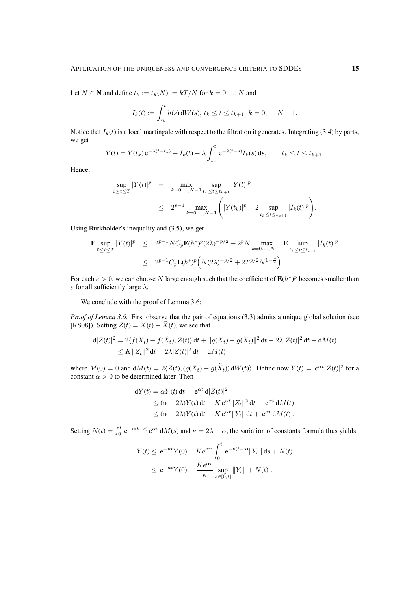Let  $N \in \mathbb{N}$  and define  $t_k := t_k(N) := kT/N$  for  $k = 0, ..., N$  and

$$
I_k(t) := \int_{t_k}^t h(s) dW(s), \ t_k \le t \le t_{k+1}, \ k = 0, ..., N-1.
$$

Notice that  $I_k(t)$  is a local martingale with respect to the filtration it generates. Integrating (3.4) by parts, we get

$$
Y(t) = Y(t_k) e^{-\lambda(t - t_k)} + I_k(t) - \lambda \int_{t_k}^t e^{-\lambda(t - s)} I_k(s) ds, \qquad t_k \le t \le t_{k+1}.
$$

Hence,

$$
\sup_{0 \le t \le T} |Y(t)|^p = \max_{k=0,...,N-1} \sup_{t_k \le t \le t_{k+1}} |Y(t)|^p
$$
  
 
$$
\le 2^{p-1} \max_{k=0,...,N-1} \left( |Y(t_k)|^p + 2 \sup_{t_k \le t \le t_{k+1}} |I_k(t)|^p \right).
$$

Using Burkholder's inequality and (3.5), we get

$$
\mathbf{E} \sup_{0 \le t \le T} |Y(t)|^p \le 2^{p-1} NC_p \mathbf{E}(h^*)^p (2\lambda)^{-p/2} + 2^p N \max_{k=0,\dots,N-1} \mathbf{E} \sup_{t_k \le t \le t_{k+1}} |I_k(t)|^p
$$
  

$$
\le 2^{p-1} C_p \mathbf{E}(h^*)^p \Big( N(2\lambda)^{-p/2} + 2T^{p/2} N^{1-\frac{p}{2}} \Big).
$$

For each  $\varepsilon > 0$ , we can choose N large enough such that the coefficient of  $E(h^*)^p$  becomes smaller than  $\varepsilon$  for all sufficiently large  $\lambda$ .  $\Box$ 

We conclude with the proof of Lemma 3.6:

*Proof of Lemma 3.6.* First observe that the pair of equations (3.3) admits a unique global solution (see [RS08]). Setting  $Z(t) = X(t) - \tilde{X}(t)$ , we see that

$$
\begin{aligned} \mathbf{d}|Z(t)|^2 &= 2\langle f(X_t) - f(\widetilde{X}_t), Z(t)\rangle \, \mathrm{d}t + \|g(X_t) - g(\widetilde{X}_t)\|^2 \, \mathrm{d}t - 2\lambda |Z(t)|^2 \, \mathrm{d}t + \mathrm{d}M(t) \\ &\leq K \|Z_t\|^2 \, \mathrm{d}t - 2\lambda |Z(t)|^2 \, \mathrm{d}t + \mathrm{d}M(t) \end{aligned}
$$

where  $M(0) = 0$  and  $dM(t) = 2\langle Z(t), (g(X_t) - g(X_t)) dW(t) \rangle$ . Define now  $Y(t) = e^{\alpha t} |Z(t)|^2$  for a constant  $\alpha > 0$  to be determined later. Then

$$
dY(t) = \alpha Y(t) dt + e^{\alpha t} d|Z(t)|^2
$$
  
\n
$$
\leq (\alpha - 2\lambda)Y(t) dt + K e^{\alpha t} ||Z_t||^2 dt + e^{\alpha t} dM(t)
$$
  
\n
$$
\leq (\alpha - 2\lambda)Y(t) dt + K e^{\alpha r} ||Y_t|| dt + e^{\alpha t} dM(t).
$$

Setting  $N(t) = \int_0^t e^{-\kappa(t-s)} e^{\alpha s} dM(s)$  and  $\kappa = 2\lambda - \alpha$ , the variation of constants formula thus yields

$$
Y(t) \le e^{-\kappa t} Y(0) + K e^{\alpha r} \int_0^t e^{-\kappa (t-s)} \|Y_s\| ds + N(t)
$$
  

$$
\le e^{-\kappa t} Y(0) + \frac{K e^{\alpha r}}{\kappa} \sup_{s \in [0,t]} \|Y_s\| + N(t).
$$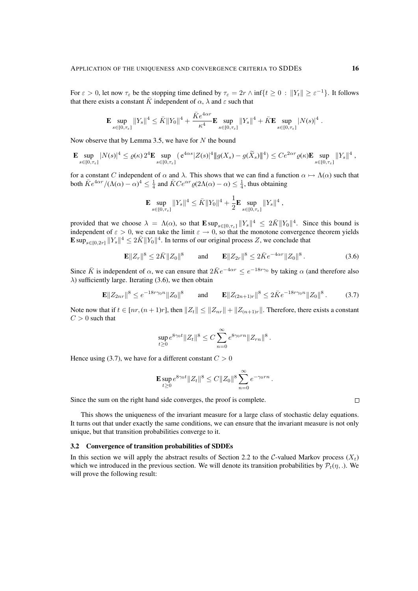For  $\varepsilon > 0$ , let now  $\tau_{\varepsilon}$  be the stopping time defined by  $\tau_{\varepsilon} = 2r \wedge \inf\{t \ge 0 : ||Y_t|| \ge \varepsilon^{-1}\}\.$  It follows that there exists a constant  $\overline{K}$  independent of  $\alpha$ ,  $\lambda$  and  $\varepsilon$  such that

$$
\mathbf{E}\sup_{s\in [0,\tau_{\varepsilon}]} \|Y_s\|^4 \leq \bar K \|Y_0\|^4 + \frac{\bar K e^{4\alpha r}}{\kappa^4} \mathbf{E}\sup_{s\in [0,\tau_{\varepsilon}]} \|Y_s\|^4 + \bar K \mathbf{E}\sup_{s\in [0,\tau_{\varepsilon}]} |N(s)|^4 \; .
$$

Now observe that by Lemma 3.5, we have for  $N$  the bound

$$
\mathbf{E} \sup_{s \in [0,\tau_{\varepsilon}]} |N(s)|^4 \leq \varrho(\kappa) 2^4 \mathbf{E} \sup_{s \in [0,\tau_{\varepsilon}]} \left( e^{4\alpha s} |Z(s)|^4 \| g(X_s) - g(\widetilde{X}_s) \|^4 \right) \leq C e^{2\alpha r} \varrho(\kappa) \mathbf{E} \sup_{s \in [0,\tau_{\varepsilon}]} ||Y_s||^4,
$$

for a constant C independent of  $\alpha$  and  $\lambda$ . This shows that we can find a function  $\alpha \mapsto \Lambda(\alpha)$  such that both  $\bar{K}e^{4\alpha r}/(\Lambda(\alpha) - \alpha)^4 \leq \frac{1}{4}$  and  $\bar{K}Ce^{\alpha r} \varrho(2\Lambda(\alpha) - \alpha) \leq \frac{1}{4}$ , thus obtaining

$$
\mathbf{E} \sup_{s \in [0, \tau_{\varepsilon}]} \|Y_s\|^4 \leq \bar{K} \|Y_0\|^4 + \frac{1}{2} \mathbf{E} \sup_{s \in [0, \tau_{\varepsilon}]} \|Y_s\|^4,
$$

provided that we choose  $\lambda = \Lambda(\alpha)$ , so that  $\mathbf{E} \sup_{s \in [0, \tau_s]} ||Y_s||^4 \leq 2\overline{K} ||Y_0||^4$ . Since this bound is independent of  $\varepsilon > 0$ , we can take the limit  $\varepsilon \to 0$ , so that the monotone convergence theorem yields  $\mathbf{E} \sup_{s \in [0,2r]} \|Y_s\|^4 \leq 2\overline{K} \|Y_0\|^4$ . In terms of our original process Z, we conclude that

$$
\mathbf{E} \|Z_r\|^8 \le 2\bar{K} \|Z_0\|^8 \qquad \text{and} \qquad \mathbf{E} \|Z_{2r}\|^8 \le 2\bar{K} e^{-4\alpha r} \|Z_0\|^8 \,. \tag{3.6}
$$

Since  $\bar{K}$  is independent of  $\alpha$ , we can ensure that  $2\bar{K}e^{-4\alpha r} \le e^{-18r\gamma_0}$  by taking  $\alpha$  (and therefore also  $\lambda$ ) sufficiently large. Iterating (3.6), we then obtain

$$
\mathbf{E} \|Z_{2nr}\|^8 \le e^{-18r\gamma_0 n} \|Z_0\|^8 \qquad \text{and} \qquad \mathbf{E} \|Z_{(2n+1)r}\|^8 \le 2\bar{K} e^{-18r\gamma_0 n} \|Z_0\|^8 \,. \tag{3.7}
$$

Note now that if  $t \in [nr, (n+1)r]$ , then  $||Z_t|| \leq ||Z_{nr}|| + ||Z_{(n+1)r}||$ . Therefore, there exists a constant  $C > 0$  such that

$$
\sup_{t\geq 0} e^{8\gamma_0 t} \|Z_t\|^8 \leq C \sum_{n=0}^{\infty} e^{8\gamma_0 r n} \|Z_{r n}\|^8.
$$

Hence using (3.7), we have for a different constant  $C > 0$ 

$$
\mathbf{E}\sup_{t\geq 0}e^{8\gamma_0 t}\|Z_t\|^8\leq C\|Z_0\|^8\sum_{n=0}^\infty e^{-\gamma_0 r n}\,.
$$

Since the sum on the right hand side converges, the proof is complete.

This shows the uniqueness of the invariant measure for a large class of stochastic delay equations. It turns out that under exactly the same conditions, we can ensure that the invariant measure is not only unique, but that transition probabilities converge to it.

#### 3.2 Convergence of transition probabilities of SDDEs

In this section we will apply the abstract results of Section 2.2 to the C-valued Markov process  $(X_t)$ which we introduced in the previous section. We will denote its transition probabilities by  $\mathcal{P}_t(\eta, \cdot)$ . We will prove the following result: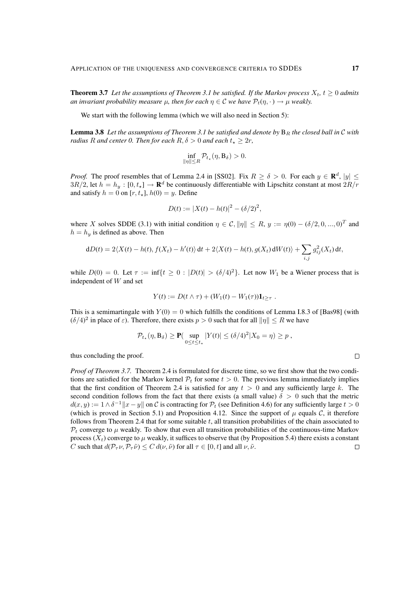**Theorem 3.7** Let the assumptions of Theorem 3.1 be satisfied. If the Markov process  $X_t$ ,  $t \geq 0$  admits *an invariant probability measure*  $\mu$ , then for each  $\eta \in \mathcal{C}$  *we have*  $\mathcal{P}_t(\eta, \cdot) \to \mu$  *weakly.* 

We start with the following lemma (which we will also need in Section 5):

**Lemma 3.8** Let the assumptions of Theorem 3.1 be satisfied and denote by  $B_R$  the closed ball in  $C$  with *radius* R *and center 0. Then for each*  $R, \delta > 0$  *and each*  $t_* \geq 2r$ ,

$$
\inf_{\|\eta\| \le R} \mathcal{P}_{t_\star}(\eta, \mathbf{B}_{\delta}) > 0.
$$

*Proof.* The proof resembles that of Lemma 2.4 in [SS02]. Fix  $R \ge \delta > 0$ . For each  $y \in \mathbb{R}^d$ ,  $|y| \le$  $3R/2$ , let  $h = h_y : [0, t_*) \to \mathbf{R}^d$  be continuously differentiable with Lipschitz constant at most  $2R/r$ and satisfy  $h = 0$  on  $[r, t_{\star}], h(0) = y$ . Define

$$
D(t) := |X(t) - h(t)|^2 - (\delta/2)^2,
$$

where X solves SDDE (3.1) with initial condition  $\eta \in \mathcal{C}, ||\eta|| \leq R$ ,  $y := \eta(0) - (\delta/2, 0, ..., 0)^T$  and  $h = h_y$  is defined as above. Then

$$
dD(t) = 2\langle X(t) - h(t), f(X_t) - h'(t) \rangle dt + 2\langle X(t) - h(t), g(X_t) dW(t) \rangle + \sum_{i,j} g_{ij}^2(X_t) dt,
$$

while  $D(0) = 0$ . Let  $\tau := \inf\{t \ge 0 : |D(t)| > (\delta/4)^2\}$ . Let now  $W_1$  be a Wiener process that is independent of W and set

$$
Y(t) := D(t \wedge \tau) + (W_1(t) - W_1(\tau))\mathbf{1}_{t \geq \tau}.
$$

This is a semimartingale with  $Y(0) = 0$  which fulfills the conditions of Lemma I.8.3 of [Bas98] (with  $(\delta/4)^2$  in place of  $\varepsilon$ ). Therefore, there exists  $p > 0$  such that for all  $\|\eta\| \le R$  we have

$$
\mathcal{P}_{t_{\star}}(\eta, B_{\delta}) \ge \mathbf{P}(\sup_{0 \le t \le t_{\star}} |Y(t)| \le (\delta/4)^2 |X_0 = \eta) \ge p,
$$

thus concluding the proof.

*Proof of Theorem 3.7.* Theorem 2.4 is formulated for discrete time, so we first show that the two conditions are satisfied for the Markov kernel  $\mathcal{P}_t$  for some  $t > 0$ . The previous lemma immediately implies that the first condition of Theorem 2.4 is satisfied for any  $t > 0$  and any sufficiently large k. The second condition follows from the fact that there exists (a small value)  $\delta > 0$  such that the metric  $d(x, y) := 1 \wedge \delta^{-1} ||x - y||$  on C is contracting for  $\mathcal{P}_t$  (see Definition 4.6) for any sufficiently large  $t > 0$ (which is proved in Section 5.1) and Proposition 4.12. Since the support of  $\mu$  equals C, it therefore follows from Theorem 2.4 that for some suitable t, all transition probabilities of the chain associated to  $P_t$  converge to  $\mu$  weakly. To show that even all transition probabilities of the continuous-time Markov process  $(X_t)$  converge to  $\mu$  weakly, it suffices to observe that (by Proposition 5.4) there exists a constant C such that  $d(\mathcal{P}_{\tau} \nu, \mathcal{P}_{\tau} \tilde{\nu}) \leq C d(\nu, \tilde{\nu})$  for all  $\tau \in [0, t]$  and all  $\nu, \tilde{\nu}$ .  $\Box$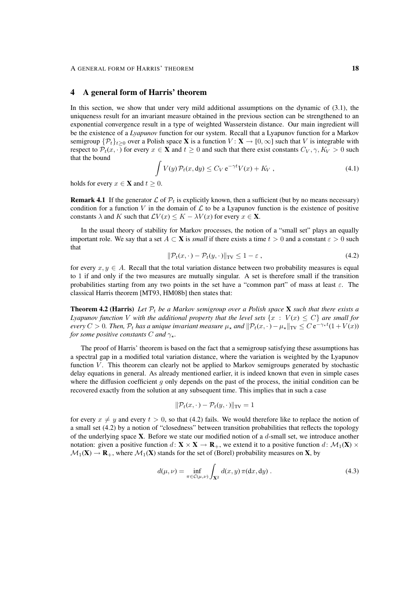## 4 A general form of Harris' theorem

In this section, we show that under very mild additional assumptions on the dynamic of (3.1), the uniqueness result for an invariant measure obtained in the previous section can be strengthened to an exponential convergence result in a type of weighted Wasserstein distance. Our main ingredient will be the existence of a *Lyapunov* function for our system. Recall that a Lyapunov function for a Markov semigroup  $\{\mathcal{P}_t\}_{t>0}$  over a Polish space X is a function  $V : \mathbf{X} \to [0, \infty]$  such that V is integrable with respect to  $\mathcal{P}_t(x, \cdot)$  for every  $x \in \mathbf{X}$  and  $t \geq 0$  and such that there exist constants  $C_V, \gamma, K_V > 0$  such that the bound

$$
\int V(y) \mathcal{P}_t(x, dy) \le C_V e^{-\gamma t} V(x) + K_V , \qquad (4.1)
$$

holds for every  $x \in \mathbf{X}$  and  $t \geq 0$ .

**Remark 4.1** If the generator  $\mathcal{L}$  of  $\mathcal{P}_t$  is explicitly known, then a sufficient (but by no means necessary) condition for a function V in the domain of  $\mathcal L$  to be a Lyapunov function is the existence of positive constants  $\lambda$  and K such that  $\mathcal{L}V(x) \leq K - \lambda V(x)$  for every  $x \in \mathbf{X}$ .

In the usual theory of stability for Markov processes, the notion of a "small set" plays an equally important role. We say that a set  $A \subset \mathbf{X}$  is *small* if there exists a time  $t > 0$  and a constant  $\varepsilon > 0$  such that

$$
\|\mathcal{P}_t(x,\cdot) - \mathcal{P}_t(y,\cdot)\|_{\text{TV}} \le 1 - \varepsilon \,,\tag{4.2}
$$

for every  $x, y \in A$ . Recall that the total variation distance between two probability measures is equal to 1 if and only if the two measures are mutually singular. A set is therefore small if the transition probabilities starting from any two points in the set have a "common part" of mass at least  $\varepsilon$ . The classical Harris theorem [MT93, HM08b] then states that:

**Theorem 4.2 (Harris)** Let  $P_t$  be a Markov semigroup over a Polish space **X** such that there exists a *Lyapunov function* V with the additional property that the level sets  $\{x : V(x) \le C\}$  are small for *every*  $C > 0$ . Then,  $P_t$  has a unique invariant measure  $\mu_*$  and  $\|P_t(x, \cdot) - \mu_*\|_{TV} \leq C e^{-\gamma_* t} (1 + V(x))$ *for some positive constants* C *and*  $\gamma$ .

The proof of Harris' theorem is based on the fact that a semigroup satisfying these assumptions has a spectral gap in a modified total variation distance, where the variation is weighted by the Lyapunov function  $V$ . This theorem can clearly not be applied to Markov semigroups generated by stochastic delay equations in general. As already mentioned earlier, it is indeed known that even in simple cases where the diffusion coefficient q only depends on the past of the process, the initial condition can be recovered exactly from the solution at any subsequent time. This implies that in such a case

$$
\|\mathcal{P}_t(x,\cdot)-\mathcal{P}_t(y,\cdot)\|_{\text{TV}}=1
$$

for every  $x \neq y$  and every  $t > 0$ , so that (4.2) fails. We would therefore like to replace the notion of a small set (4.2) by a notion of "closedness" between transition probabilities that reflects the topology of the underlying space  $X$ . Before we state our modified notion of a  $d$ -small set, we introduce another notation: given a positive function  $d: \mathbf{X} \times \mathbf{X} \to \mathbf{R}_{+}$ , we extend it to a positive function  $d: \mathcal{M}_1(\mathbf{X}) \times$  $\mathcal{M}_1(\mathbf{X}) \to \mathbf{R}_+$ , where  $\mathcal{M}_1(\mathbf{X})$  stands for the set of (Borel) probability measures on **X**, by

$$
d(\mu, \nu) = \inf_{\pi \in C(\mu, \nu)} \int_{\mathbf{X}^2} d(x, y) \, \pi(\mathrm{d}x, \mathrm{d}y) \,. \tag{4.3}
$$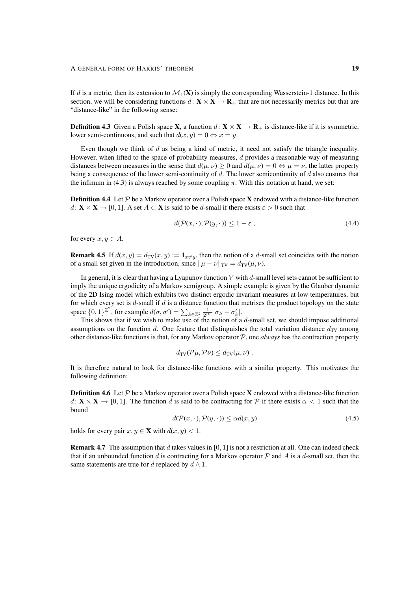If d is a metric, then its extension to  $\mathcal{M}_1(\mathbf{X})$  is simply the corresponding Wasserstein-1 distance. In this section, we will be considering functions  $d: \mathbf{X} \times \mathbf{X} \to \mathbf{R}_{+}$  that are not necessarily metrics but that are "distance-like" in the following sense:

**Definition 4.3** Given a Polish space **X**, a function  $d: \mathbf{X} \times \mathbf{X} \to \mathbf{R}_{+}$  is distance-like if it is symmetric, lower semi-continuous, and such that  $d(x, y) = 0 \Leftrightarrow x = y$ .

Even though we think of  $d$  as being a kind of metric, it need not satisfy the triangle inequality. However, when lifted to the space of probability measures,  $d$  provides a reasonable way of measuring distances between measures in the sense that  $d(u, v) > 0$  and  $d(u, v) = 0 \Leftrightarrow u = v$ , the latter property being a consequence of the lower semi-continuity of  $d$ . The lower semicontinuity of  $d$  also ensures that the infimum in (4.3) is always reached by some coupling  $\pi$ . With this notation at hand, we set:

**Definition 4.4** Let  $P$  be a Markov operator over a Polish space **X** endowed with a distance-like function  $d: \mathbf{X} \times \mathbf{X} \to [0, 1]$ . A set  $A \subset \mathbf{X}$  is said to be d-small if there exists  $\varepsilon > 0$  such that

$$
d(\mathcal{P}(x,\cdot),\mathcal{P}(y,\cdot)) \le 1 - \varepsilon ,\tag{4.4}
$$

for every  $x, y \in A$ .

**Remark 4.5** If  $d(x, y) = d_{TV}(x, y) := \mathbf{1}_{x \neq y}$ , then the notion of a d-small set coincides with the notion of a small set given in the introduction, since  $\|\mu - \nu\|_{TV} = d_{TV}(\mu, \nu)$ .

In general, it is clear that having a Lyapunov function  $V$  with  $d$ -small level sets cannot be sufficient to imply the unique ergodicity of a Markov semigroup. A simple example is given by the Glauber dynamic of the 2D Ising model which exhibits two distinct ergodic invariant measures at low temperatures, but for which every set is  $d$ -small if  $d$  is a distance function that metrises the product topology on the state space  $\{0,1\}^{\mathbb{Z}^2}$ , for example  $d(\sigma, \sigma') = \sum_{k \in \mathbb{Z}^2} \frac{1}{2^{|k|}} |\sigma_k - \sigma'_k|$ .

This shows that if we wish to make use of the notion of a  $d$ -small set, we should impose additional assumptions on the function d. One feature that distinguishes the total variation distance  $d_{\text{TV}}$  among other distance-like functions is that, for any Markov operator P, one *always* has the contraction property

$$
d_{\mathrm{TV}}(\mathcal{P}\mu, \mathcal{P}\nu) \leq d_{\mathrm{TV}}(\mu, \nu).
$$

It is therefore natural to look for distance-like functions with a similar property. This motivates the following definition:

**Definition 4.6** Let  $P$  be a Markov operator over a Polish space **X** endowed with a distance-like function  $d: \mathbf{X} \times \mathbf{X} \to [0, 1]$ . The function d is said to be contracting for P if there exists  $\alpha < 1$  such that the bound

$$
d(\mathcal{P}(x,\cdot),\mathcal{P}(y,\cdot)) \le \alpha d(x,y) \tag{4.5}
$$

holds for every pair  $x, y \in \mathbf{X}$  with  $d(x, y) < 1$ .

**Remark 4.7** The assumption that d takes values in [0, 1] is not a restriction at all. One can indeed check that if an unbounded function d is contracting for a Markov operator  $P$  and A is a d-small set, then the same statements are true for d replaced by  $d \wedge 1$ .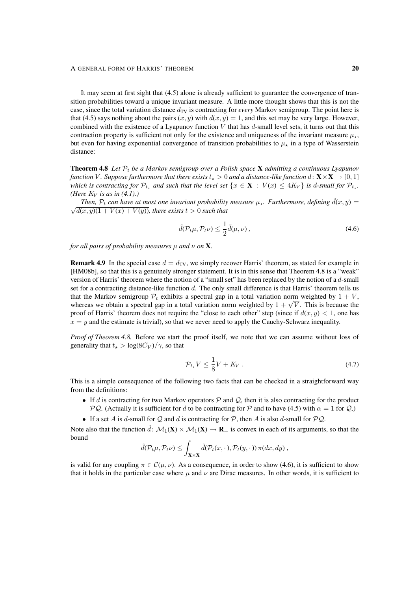It may seem at first sight that (4.5) alone is already sufficient to guarantee the convergence of transition probabilities toward a unique invariant measure. A little more thought shows that this is not the case, since the total variation distance  $d_{TV}$  is contracting for *every* Markov semigroup. The point here is that (4.5) says nothing about the pairs  $(x, y)$  with  $d(x, y) = 1$ , and this set may be very large. However, combined with the existence of a Lyapunov function  $V$  that has  $d$ -small level sets, it turns out that this contraction property is sufficient not only for the existence and uniqueness of the invariant measure  $\mu_{\star}$ , but even for having exponential convergence of transition probabilities to  $\mu_{+}$  in a type of Wasserstein distance:

**Theorem 4.8** Let  $\mathcal{P}_t$  be a Markov semigroup over a Polish space **X** admitting a continuous Lyapunov *function* V. Suppose furthermore that there exists  $t_* > 0$  and a distance-like function  $d: \mathbf{X} \times \mathbf{X} \to [0, 1]$ *which is contracting for*  $\mathcal{P}_{t_*}$  and such that the level set  $\{x \in \mathbf{X} : V(x) \le 4K_V\}$  is d-small for  $\mathcal{P}_{t_*}$ . *(Here*  $K_V$  *is as in (4.1).)* 

*Then,*  $\mathcal{P}_t$  *can have at most one invariant probability measure*  $\mu_{\star}$ *. Furthermore, defining*  $\tilde{d}(x, y)$  =  $\sqrt{d(x, y)(1 + V(x) + V(y))}$ , there exists  $t > 0$  such that

$$
\tilde{d}(\mathcal{P}_t\mu, \mathcal{P}_t\nu) \le \frac{1}{2}\tilde{d}(\mu, \nu) ,\qquad(4.6)
$$

*for all pairs of probability measures*  $\mu$  *and*  $\nu$  *on* **X***.* 

**Remark 4.9** In the special case  $d = d_{TV}$ , we simply recover Harris' theorem, as stated for example in [HM08b], so that this is a genuinely stronger statement. It is in this sense that Theorem 4.8 is a "weak" version of Harris' theorem where the notion of a "small set" has been replaced by the notion of a d-small set for a contracting distance-like function d. The only small difference is that Harris' theorem tells us that the Markov semigroup  $\mathcal{P}_t$  exhibits a spectral gap in a total variation norm weighted by  $1 + V$ , that the Markov semigroup  $P_t$  exhibits a spectral gap in a total variation norm weighted by  $1 + V$ , whereas we obtain a spectral gap in a total variation norm weighted by  $1 + \sqrt{V}$ . This is because the proof of Harris' theorem does not require the "close to each other" step (since if  $d(x, y) < 1$ , one has  $x = y$  and the estimate is trivial), so that we never need to apply the Cauchy-Schwarz inequality.

*Proof of Theorem 4.8.* Before we start the proof itself, we note that we can assume without loss of generality that  $t_{\star} > \log(8C_V)/\gamma$ , so that

$$
\mathcal{P}_{t*}V \le \frac{1}{8}V + K_V \tag{4.7}
$$

This is a simple consequence of the following two facts that can be checked in a straightforward way from the definitions:

- If d is contracting for two Markov operators  $P$  and  $Q$ , then it is also contracting for the product PQ. (Actually it is sufficient for d to be contracting for P and to have (4.5) with  $\alpha = 1$  for Q.)
- If a set A is d-small for Q and d is contracting for P, then A is also d-small for  $PQ$ .

Note also that the function  $\tilde{d}: \mathcal{M}_1(\mathbf{X}) \times \mathcal{M}_1(\mathbf{X}) \to \mathbf{R}_+$  is convex in each of its arguments, so that the bound

$$
\tilde{d}(\mathcal{P}_t\mu, \mathcal{P}_t\nu) \leq \int_{\mathbf{X}\times\mathbf{X}} \tilde{d}(\mathcal{P}_t(x,\cdot), \mathcal{P}_t(y,\cdot)) \, \pi(dx, dy) ,
$$

is valid for any coupling  $\pi \in \mathcal{C}(\mu, \nu)$ . As a consequence, in order to show (4.6), it is sufficient to show that it holds in the particular case where  $\mu$  and  $\nu$  are Dirac measures. In other words, it is sufficient to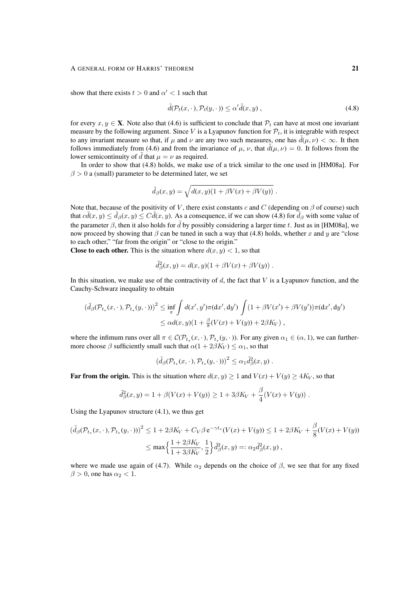#### A GENERAL FORM OF HARRIS' THEOREM 21

show that there exists  $t > 0$  and  $\alpha' < 1$  such that

$$
\tilde{d}(\mathcal{P}_t(x,\cdot),\mathcal{P}_t(y,\cdot)) \le \alpha' \tilde{d}(x,y),\tag{4.8}
$$

for every  $x, y \in \mathbf{X}$ . Note also that (4.6) is sufficient to conclude that  $\mathcal{P}_t$  can have at most one invariant measure by the following argument. Since V is a Lyapunov function for  $\mathcal{P}_t$ , it is integrable with respect to any invariant measure so that, if  $\mu$  and  $\nu$  are any two such measures, one has  $d(\mu, \nu) < \infty$ . It then follows immediately from (4.6) and from the invariance of  $\mu$ ,  $\nu$ , that  $\partial(\mu, \nu) = 0$ . It follows from the lower semicontinuity of  $\tilde{d}$  that  $\mu = \nu$  as required.

In order to show that (4.8) holds, we make use of a trick similar to the one used in [HM08a]. For  $\beta > 0$  a (small) parameter to be determined later, we set

$$
\tilde{d}_{\beta}(x,y) = \sqrt{d(x,y)(1 + \beta V(x) + \beta V(y))}.
$$

Note that, because of the positivity of V, there exist constants c and C (depending on  $\beta$  of course) such that  $c\tilde{d}(x,y) \le \tilde{d}_{\beta}(x,y) \le C\tilde{d}(x,y)$ . As a consequence, if we can show (4.8) for  $\tilde{d}_{\beta}$  with some value of the parameter  $\beta$ , then it also holds for  $\tilde{d}$  by possibly considering a larger time t. Just as in [HM08a], we now proceed by showing that  $\beta$  can be tuned in such a way that (4.8) holds, whether x and y are "close to each other," "far from the origin" or "close to the origin."

**Close to each other.** This is the situation where  $d(x, y) < 1$ , so that

$$
\tilde{d}^2_{\beta}(x,y) = d(x,y)(1 + \beta V(x) + \beta V(y)).
$$

In this situation, we make use of the contractivity of  $d$ , the fact that  $V$  is a Lyapunov function, and the Cauchy-Schwarz inequality to obtain

$$
\begin{aligned} \left(\tilde{d}_{\beta}(\mathcal{P}_{t_{\star}}(x,\cdot),\mathcal{P}_{t_{\star}}(y,\cdot))\right)^{2} &\leq \inf_{\pi} \int d(x',y')\pi(\mathrm{d}x',\mathrm{d}y') \int (1+\beta V(x')+\beta V(y'))\pi(\mathrm{d}x',\mathrm{d}y') \\ &\leq \alpha d(x,y)(1+\frac{\beta}{8}(V(x)+V(y))+2\beta K_V) \;, \end{aligned}
$$

where the infimum runs over all  $\pi \in \mathcal{C}(\mathcal{P}_{t_\star}(x, \cdot), \mathcal{P}_{t_\star}(y, \cdot))$ . For any given  $\alpha_1 \in (\alpha, 1)$ , we can furthermore choose  $\beta$  sufficiently small such that  $\alpha(1 + 2\beta K_V) \leq \alpha_1$ , so that

$$
\left(\tilde{d}_{\beta}(\mathcal{P}_{t_{\star}}(x,\cdot),\mathcal{P}_{t_{\star}}(y,\cdot))\right)^{2} \leq \alpha_{1}\tilde{d}_{\beta}^{2}(x,y) .
$$

**Far from the origin.** This is the situation where  $d(x, y) \ge 1$  and  $V(x) + V(y) \ge 4K_V$ , so that

$$
\tilde{d}_{\beta}^{2}(x, y) = 1 + \beta (V(x) + V(y)) \ge 1 + 3\beta K_{V} + \frac{\beta}{4}(V(x) + V(y)).
$$

Using the Lyapunov structure (4.1), we thus get

$$
\left(\tilde{d}_{\beta}(\mathcal{P}_{t_{\star}}(x,\cdot),\mathcal{P}_{t_{\star}}(y,\cdot))\right)^{2} \leq 1 + 2\beta K_{V} + C_{V}\beta e^{-\gamma t_{\star}}(V(x) + V(y)) \leq 1 + 2\beta K_{V} + \frac{\beta}{8}(V(x) + V(y))
$$

$$
\leq \max\left\{\frac{1 + 2\beta K_{V}}{1 + 3\beta K_{V}}, \frac{1}{2}\right\}\tilde{d}_{\beta}^{2}(x,y) =: \alpha_{2}\tilde{d}_{\beta}^{2}(x,y),
$$

where we made use again of (4.7). While  $\alpha_2$  depends on the choice of  $\beta$ , we see that for any fixed  $\beta > 0$ , one has  $\alpha_2 < 1$ .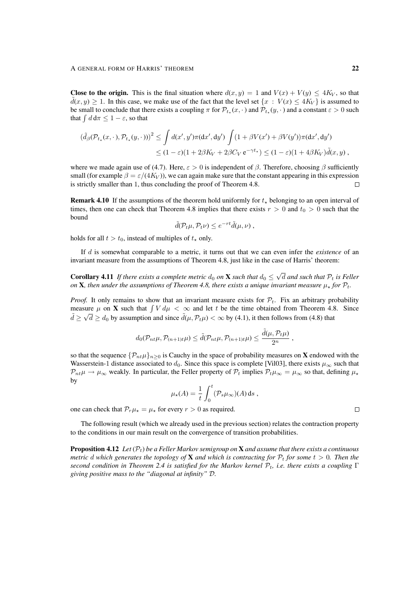**Close to the origin.** This is the final situation where  $d(x, y) = 1$  and  $V(x) + V(y) \le 4K_V$ , so that  $d(x, y) \ge 1$ . In this case, we make use of the fact that the level set  $\{x : V(x) \le 4K_V\}$  is assumed to be small to conclude that there exists a coupling  $\pi$  for  $\mathcal{P}_{t_*}(x, \cdot)$  and  $\mathcal{P}_{t_*}(y, \cdot)$  and a constant  $\varepsilon > 0$  such that  $\int d\,\mathrm{d}\pi \leq 1 - \varepsilon$ , so that

$$
\left(\tilde{d}_{\beta}(\mathcal{P}_{t_{\star}}(x,\cdot),\mathcal{P}_{t_{\star}}(y,\cdot))\right)^{2} \leq \int d(x',y')\pi(\mathrm{d}x',\mathrm{d}y')\int (1+\beta V(x')+\beta V(y'))\pi(\mathrm{d}x',\mathrm{d}y')\leq (1-\varepsilon)(1+2\beta K_{V}+2\beta C_{V}e^{-\gamma t_{\star}}) \leq (1-\varepsilon)(1+4\beta K_{V})\tilde{d}(x,y),
$$

where we made again use of (4.7). Here,  $\varepsilon > 0$  is independent of β. Therefore, choosing β sufficiently small (for example  $\beta = \varepsilon/(4K_V)$ ), we can again make sure that the constant appearing in this expression is strictly smaller than 1, thus concluding the proof of Theorem 4.8.  $\Box$ 

**Remark 4.10** If the assumptions of the theorem hold uniformly for  $t<sub>*</sub>$  belonging to an open interval of times, then one can check that Theorem 4.8 implies that there exists  $r > 0$  and  $t_0 > 0$  such that the bound

$$
\tilde{d}(\mathcal{P}_t\mu, \mathcal{P}_t\nu) \leq e^{-rt}\tilde{d}(\mu, \nu) ,
$$

holds for all  $t > t_0$ , instead of multiples of  $t_{\star}$  only.

If d is somewhat comparable to a metric, it turns out that we can even infer the *existence* of an invariant measure from the assumptions of Theorem 4.8, just like in the case of Harris' theorem:

**Corollary 4.11** *If there exists a complete metric*  $d_0$  *on* **X** *such that*  $d_0 \leq$ √ d and such that  $P_t$  is Feller *on* **X**, then under the assumptions of Theorem 4.8, there exists a unique invariant measure  $\mu_{\star}$  for  $\mathcal{P}_t$ .

*Proof.* It only remains to show that an invariant measure exists for  $P_t$ . Fix an arbitrary probability measure  $\mu$  on **X** such that  $\int V d\mu < \infty$  and let t be the time obtained from Theorem 4.8. Since  $d \ge \sqrt{d} \ge d_0$  by assumption and since  $\tilde{d}(\mu, \mathcal{P}_t\mu) < \infty$  by (4.1), it then follows from (4.8) that

$$
d_0(\mathcal{P}_{nt}\mu, \mathcal{P}_{(n+1)t}\mu) \leq \tilde{d}(\mathcal{P}_{nt}\mu, \mathcal{P}_{(n+1)t}\mu) \leq \frac{\tilde{d}(\mu, \mathcal{P}_{t}\mu)}{2^n},
$$

so that the sequence  $\{\mathcal{P}_{nt}\mu\}_{n\geq 0}$  is Cauchy in the space of probability measures on **X** endowed with the Wasserstein-1 distance associated to  $d_0$ . Since this space is complete [Vil03], there exists  $\mu_{\infty}$  such that  $\mathcal{P}_{nt}\mu \to \mu_{\infty}$  weakly. In particular, the Feller property of  $\mathcal{P}_t$  implies  $\mathcal{P}_t\mu_{\infty} = \mu_{\infty}$  so that, defining  $\mu_{\star}$ by

$$
\mu_{\star}(A) = \frac{1}{t} \int_0^t (\mathcal{P}_s \mu_{\infty})(A) \, \mathrm{d} s \,,
$$

one can check that  $\mathcal{P}_r \mu_* = \mu_*$  for every  $r > 0$  as required.

The following result (which we already used in the previous section) relates the contraction property to the conditions in our main result on the convergence of transition probabilities.

Proposition 4.12 *Let* (Pt) *be a Feller Markov semigroup on* X *and assume that there exists a continuous metric* d which generates the topology of **X** and which is contracting for  $\mathcal{P}_t$  for some  $t > 0$ . Then the *second condition in Theorem 2.4 is satisfied for the Markov kernel*  $P_t$ *, i.e. there exists a coupling*  $\Gamma$ *giving positive mass to the "diagonal at infinity"* D*.*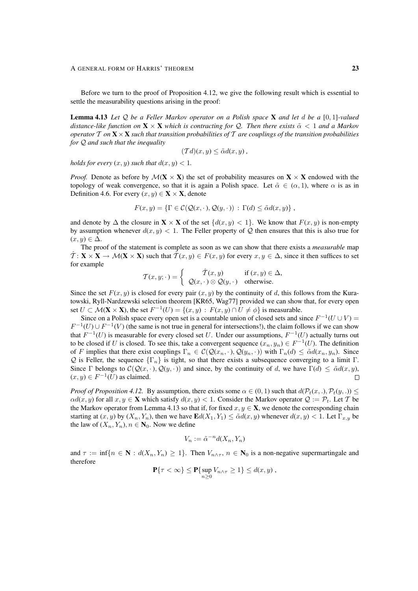Before we turn to the proof of Proposition 4.12, we give the following result which is essential to settle the measurability questions arising in the proof:

Lemma 4.13 *Let* Q *be a Feller Markov operator on a Polish space* X *and let* d *be a* [0, 1]*-valued distance-like function on*  $\mathbf{X} \times \mathbf{X}$  *which is contracting for* Q. Then there exists  $\tilde{\alpha} < 1$  *and a Markov operator* T *on* X×X *such that transition probabilities of* T *are couplings of the transition probabilities for* Q *and such that the inequality*

$$
(\mathcal{T}d)(x,y) \leq \tilde{\alpha}d(x,y),
$$

*holds for every*  $(x, y)$  *such that*  $d(x, y) < 1$ *.* 

*Proof.* Denote as before by  $\mathcal{M}(\mathbf{X} \times \mathbf{X})$  the set of probability measures on  $\mathbf{X} \times \mathbf{X}$  endowed with the topology of weak convergence, so that it is again a Polish space. Let  $\tilde{\alpha} \in (\alpha, 1)$ , where  $\alpha$  is as in Definition 4.6. For every  $(x, y) \in \mathbf{X} \times \mathbf{X}$ , denote

$$
F(x, y) = \{ \Gamma \in C(\mathcal{Q}(x, \cdot), \mathcal{Q}(y, \cdot)) : \Gamma(d) \leq \tilde{\alpha}d(x, y) \},
$$

and denote by  $\Delta$  the closure in  $\mathbf{X} \times \mathbf{X}$  of the set  $\{d(x, y) < 1\}$ . We know that  $F(x, y)$  is non-empty by assumption whenever  $d(x, y) < 1$ . The Feller property of Q then ensures that this is also true for  $(x, y) \in \Delta$ .

The proof of the statement is complete as soon as we can show that there exists a *measurable* map  $\mathcal{T}: \mathbf{X} \times \mathbf{X} \to \mathcal{M}(\mathbf{X} \times \mathbf{X})$  such that  $\mathcal{T}(x, y) \in F(x, y)$  for every  $x, y \in \Delta$ , since it then suffices to set for example

$$
\mathcal{T}(x, y; \cdot) = \begin{cases} \hat{\mathcal{T}}(x, y) & \text{if } (x, y) \in \Delta, \\ \mathcal{Q}(x, \cdot) \otimes \mathcal{Q}(y, \cdot) & \text{otherwise.} \end{cases}
$$

Since the set  $F(x, y)$  is closed for every pair  $(x, y)$  by the continuity of d, this follows from the Kuratowski, Ryll-Nardzewski selection theorem [KR65, Wag77] provided we can show that, for every open set  $U \subset \mathcal{M}(\mathbf{X} \times \mathbf{X})$ , the set  $F^{-1}(U) = \{(x, y) : F(x, y) \cap U \neq \emptyset\}$  is measurable.

Since on a Polish space every open set is a countable union of closed sets and since  $F^{-1}(U \cup V)$  =  $F^{-1}(U) \cup F^{-1}(V)$  (the same is not true in general for intersections!), the claim follows if we can show that  $F^{-1}(U)$  is measurable for every closed set U. Under our assumptions,  $F^{-1}(U)$  actually turns out to be closed if U is closed. To see this, take a convergent sequence  $(x_n, y_n) \in F^{-1}(U)$ . The definition of F implies that there exist couplings  $\Gamma_n \in C(Q(x_n, \cdot), Q(y_n, \cdot))$  with  $\Gamma_n(d) \leq \tilde{\alpha}d(x_n, y_n)$ . Since Q is Feller, the sequence  $\{\Gamma_n\}$  is tight, so that there exists a subsequence converging to a limit Γ. Since Γ belongs to  $C(Q(x, \cdot), Q(y, \cdot))$  and since, by the continuity of d, we have  $\Gamma(d) \leq \tilde{\alpha}d(x, y)$ ,  $(x, y) \in F^{-1}(U)$  as claimed.  $\Box$ 

*Proof of Proposition 4.12.* By assumption, there exists some  $\alpha \in (0,1)$  such that  $d(\mathcal{P}_t(x,.), \mathcal{P}_t(y,.)) \leq$  $\alpha d(x, y)$  for all  $x, y \in \mathbf{X}$  which satisfy  $d(x, y) < 1$ . Consider the Markov operator  $\mathcal{Q} := \mathcal{P}_t$ . Let T be the Markov operator from Lemma 4.13 so that if, for fixed  $x, y \in \mathbf{X}$ , we denote the corresponding chain starting at  $(x, y)$  by  $(X_n, Y_n)$ , then we have  $\mathbf{E}d(X_1, Y_1) \leq \tilde{\alpha}d(x, y)$  whenever  $d(x, y) < 1$ . Let  $\Gamma_{x,y}$  be the law of  $(X_n, Y_n)$ ,  $n \in N_0$ . Now we define

$$
V_n := \tilde{\alpha}^{-n} d(X_n, Y_n)
$$

and  $\tau := \inf\{n \in \mathbb{N} : d(X_n, Y_n) \geq 1\}$ . Then  $V_{n \wedge \tau}$ ,  $n \in \mathbb{N}_0$  is a non-negative supermartingale and therefore

$$
\mathbf{P}\{\tau < \infty\} \le \mathbf{P}\{\sup_{n\ge 0} V_{n\wedge \tau} \ge 1\} \le d(x, y) ,
$$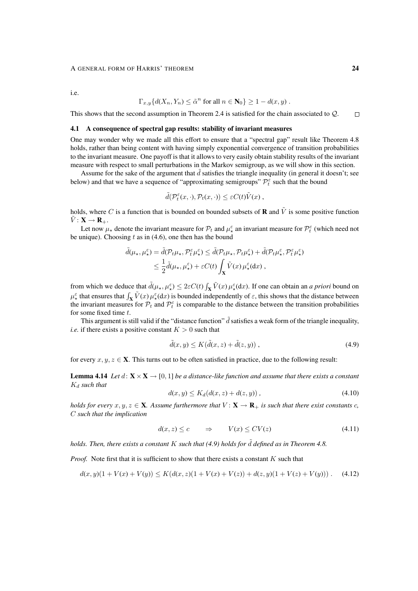#### A GENERAL FORM OF HARRIS' THEOREM 24

i.e.

$$
\Gamma_{x,y}\{d(X_n, Y_n) \leq \tilde{\alpha}^n \text{ for all } n \in \mathbb{N}_0\} \geq 1 - d(x,y) .
$$

This shows that the second assumption in Theorem 2.4 is satisfied for the chain associated to Q.  $\Box$ 

### 4.1 A consequence of spectral gap results: stability of invariant measures

One may wonder why we made all this effort to ensure that a "spectral gap" result like Theorem 4.8 holds, rather than being content with having simply exponential convergence of transition probabilities to the invariant measure. One payoff is that it allows to very easily obtain stability results of the invariant measure with respect to small perturbations in the Markov semigroup, as we will show in this section.

Assume for the sake of the argument that  $\tilde{d}$  satisfies the triangle inequality (in general it doesn't; see below) and that we have a sequence of "approximating semigroups"  $\mathcal{P}_t^{\varepsilon}$  such that the bound

$$
\tilde{d}(\mathcal{P}_t^{\varepsilon}(x,\cdot),\mathcal{P}_t(x,\cdot))\leq \varepsilon C(t)\tilde{V}(x),
$$

holds, where C is a function that is bounded on bounded subsets of **R** and  $\tilde{V}$  is some positive function  $V: \mathbf{X} \to \mathbf{R}_{+}.$ 

Let now  $\mu_*$  denote the invariant measure for  $\mathcal{P}_t$  and  $\mu_*^{\varepsilon}$  an invariant measure for  $\mathcal{P}_t^{\varepsilon}$  (which need not be unique). Choosing  $t$  as in (4.6), one then has the bound

$$
\tilde{d}(\mu_{\star}, \mu_{\star}^{\varepsilon}) = \tilde{d}(\mathcal{P}_{t}\mu_{\star}, \mathcal{P}_{t}^{\varepsilon}\mu_{\star}^{\varepsilon}) \leq \tilde{d}(\mathcal{P}_{t}\mu_{\star}, \mathcal{P}_{t}\mu_{\star}^{\varepsilon}) + \tilde{d}(\mathcal{P}_{t}\mu_{\star}^{\varepsilon}, \mathcal{P}_{t}^{\varepsilon}\mu_{\star}^{\varepsilon})
$$
\n
$$
\leq \frac{1}{2}\tilde{d}(\mu_{\star}, \mu_{\star}^{\varepsilon}) + \varepsilon C(t) \int_{\mathbf{X}} \tilde{V}(x) \mu_{\star}^{\varepsilon}(\mathrm{d}x) ,
$$

from which we deduce that  $\tilde{d}(\mu_\star, \mu_\star^\varepsilon) \leq 2\varepsilon C(t) \int_{\mathbf{X}} \tilde{V}(x) \mu_\star^\varepsilon(\mathrm{d}x)$ . If one can obtain an *a priori* bound on  $\mu_{\star}^{\varepsilon}$  that ensures that  $\int_{\mathbf{X}} \tilde{V}(x) \mu_{\star}^{\varepsilon}(\mathrm{d}x)$  is bounded independently of  $\varepsilon$ , this shows that the distance between the invariant measures for  $\mathcal{P}_t$  and  $\mathcal{P}_t^{\varepsilon}$  is comparable to the distance between the transition probabilities for some fixed time t.

This argument is still valid if the "distance function"  $\tilde{d}$  satisfies a weak form of the triangle inequality, *i.e.* if there exists a positive constant  $K > 0$  such that

$$
\tilde{d}(x, y) \le K(\tilde{d}(x, z) + \tilde{d}(z, y)),\tag{4.9}
$$

for every  $x, y, z \in \mathbf{X}$ . This turns out to be often satisfied in practice, due to the following result:

**Lemma 4.14** *Let*  $d: \mathbf{X} \times \mathbf{X} \to [0, 1]$  *be a distance-like function and assume that there exists a constant* K<sup>d</sup> *such that*

$$
d(x, y) \le K_d(d(x, z) + d(z, y)),
$$
\n(4.10)

*holds for every*  $x, y, z \in \mathbf{X}$ *. Assume furthermore that*  $V : \mathbf{X} \to \mathbf{R}_+$  *is such that there exist constants* c, C *such that the implication*

$$
d(x, z) \le c \qquad \Rightarrow \qquad V(x) \le CV(z) \tag{4.11}
$$

*holds. Then, there exists a constant* K *such that (4.9) holds for* ˜d *defined as in Theorem 4.8.*

*Proof.* Note first that it is sufficient to show that there exists a constant K such that

$$
d(x, y)(1 + V(x) + V(y)) \le K(d(x, z)(1 + V(x) + V(z)) + d(z, y)(1 + V(z) + V(y))). \quad (4.12)
$$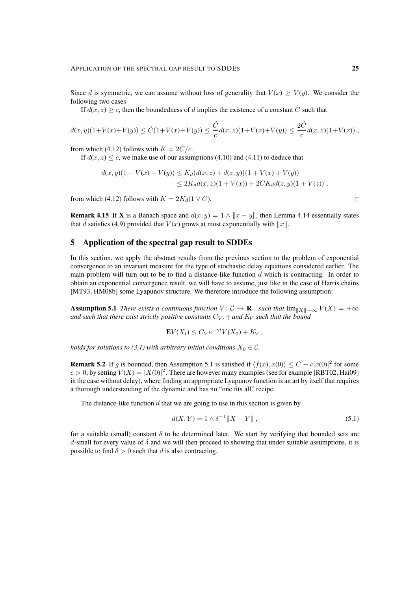Since d is symmetric, we can assume without loss of generality that  $V(x) \ge V(y)$ . We consider the following two cases

If  $d(x, z) \geq c$ , then the boundedness of d implies the existence of a constant C such that

$$
d(x,y)(1+V(x)+V(y)) \leq \tilde{C}(1+V(x)+V(y)) \leq \frac{\tilde{C}}{c}d(x,z)(1+V(x)+V(y)) \leq \frac{2\tilde{C}}{c}d(x,z)(1+V(x)),
$$

from which (4.12) follows with  $K = 2\tilde{C}/c$ .

If  $d(x, z) \leq c$ , we make use of our assumptions (4.10) and (4.11) to deduce that

$$
d(x,y)(1+V(x)+V(y)) \leq K_d(d(x,z)+d(z,y))(1+V(x)+V(y))
$$
  

$$
\leq 2K_d d(x,z)(1+V(x))+2CK_d d(z,y)(1+V(z)),
$$

from which (4.12) follows with  $K = 2K_d(1 \vee C)$ .

**Remark 4.15** If X is a Banach space and  $d(x, y) = 1 \land ||x - y||$ , then Lemma 4.14 essentially states that  $\tilde{d}$  satisfies (4.9) provided that  $V(x)$  grows at most exponentially with  $||x||$ .

## 5 Application of the spectral gap result to SDDEs

In this section, we apply the abstract results from the previous section to the problem of exponential convergence to an invariant measure for the type of stochastic delay equations considered earlier. The main problem will turn out to be to find a distance-like function  $d$  which is contracting. In order to obtain an exponential convergence result, we will have to assume, just like in the case of Harris chains [MT93, HM08b] some Lyapunov structure. We therefore introduce the following assumption:

**Assumption 5.1** *There exists a continuous function*  $V: \mathcal{C} \to \mathbf{R}_+$  *such that*  $\lim_{\|X\| \to \infty} V(X) = +\infty$ *and such that there exist strictly positive constants*  $C_V$ ,  $\gamma$  *and*  $K_V$  *such that the bound* 

$$
\mathbf{E}V(X_t) \leq C_V e^{-\gamma t} V(X_0) + K_V,
$$

*holds for solutions to (3.1) with arbitrary initial conditions*  $X_0 \in \mathcal{C}$ *.* 

**Remark 5.2** If g is bounded, then Assumption 5.1 is satisfied if  $\langle f(x), x(0) \rangle \le C - c|x(0)|^2$  for some  $c > 0$ , by setting  $V(X) = |X(0)|^2$ . There are however many examples (see for example [RBT02, Hai09] in the case without delay), where finding an appropriate Lyapunov function is an art by itself that requires a thorough understanding of the dynamic and has no "one fits all" recipe.

The distance-like function  $d$  that we are going to use in this section is given by

$$
d(X,Y) = 1 \wedge \delta^{-1} \|X - Y\| \,, \tag{5.1}
$$

for a suitable (small) constant  $\delta$  to be determined later. We start by verifying that bounded sets are d-small for every value of  $\delta$  and we will then proceed to showing that under suitable assumptions, it is possible to find  $\delta > 0$  such that d is also contracting.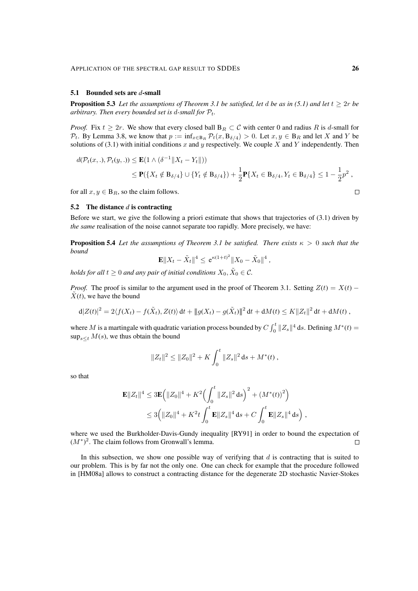#### 5.1 Bounded sets are *d*-small

**Proposition 5.3** Let the assumptions of Theorem 3.1 be satisfied, let d be as in (5.1) and let  $t \geq 2r$  be *arbitrary. Then every bounded set is d-small for*  $P_t$ .

*Proof.* Fix  $t \geq 2r$ . We show that every closed ball  $B_R \subset C$  with center 0 and radius R is d-small for  $\mathcal{P}_t$ . By Lemma 3.8, we know that  $p := \inf_{x \in B_R} \mathcal{P}_t(x, B_{\delta/4}) > 0$ . Let  $x, y \in B_R$  and let X and Y be solutions of (3.1) with initial conditions x and y respectively. We couple X and Y independently. Then

$$
d(\mathcal{P}_t(x,.), \mathcal{P}_t(y,.)) \le \mathbf{E}(1 \wedge (\delta^{-1} \|X_t - Y_t\|))
$$
  
 
$$
\le \mathbf{P}(\{X_t \notin B_{\delta/4}\} \cup \{Y_t \notin B_{\delta/4}\}) + \frac{1}{2}\mathbf{P}\{X_t \in B_{\delta/4}, Y_t \in B_{\delta/4}\} \le 1 - \frac{1}{2}p^2,
$$

for all  $x, y \in B_R$ , so the claim follows.

#### 5.2 The distance *d* is contracting

Before we start, we give the following a priori estimate that shows that trajectories of (3.1) driven by *the same* realisation of the noise cannot separate too rapidly. More precisely, we have:

**Proposition 5.4** Let the assumptions of Theorem 3.1 be satisfied. There exists  $\kappa > 0$  such that the *bound*

$$
\mathbf{E} \|X_t - \tilde{X}_t\|^4 \leq e^{\kappa (1+t)^2} \|X_0 - \tilde{X}_0\|^4,
$$

holds for all  $t\geq 0$  and any pair of initial conditions  $X_0, \tilde X_0\in \mathcal C.$ 

*Proof.* The proof is similar to the argument used in the proof of Theorem 3.1. Setting  $Z(t) = X(t) \tilde{X}(t)$ , we have the bound

$$
d|Z(t)|^2 = 2\langle f(X_t) - f(\tilde{X}_t), Z(t)\rangle dt + ||g(X_t) - g(\tilde{X}_t)||^2 dt + dM(t) \le K||Z_t||^2 dt + dM(t),
$$

where M is a martingale with quadratic variation process bounded by  $C \int_0^t \|Z_s\|^4 ds$ . Defining  $M^*(t) =$  $\sup_{s \leq t} M(s)$ , we thus obtain the bound

$$
||Z_t||^2 \leq ||Z_0||^2 + K \int_0^t ||Z_s||^2 ds + M^*(t),
$$

so that

$$
\mathbf{E}||Z_t||^4 \leq 3\mathbf{E} (||Z_0||^4 + K^2 \left(\int_0^t ||Z_s||^2 ds\right)^2 + \left(M^*(t)\right)^2)
$$
  

$$
\leq 3\left(||Z_0||^4 + K^2 t \int_0^t \mathbf{E}||Z_s||^4 ds + C \int_0^t \mathbf{E}||Z_s||^4 ds\right),
$$

where we used the Burkholder-Davis-Gundy inequality [RY91] in order to bound the expectation of  $(M^*)^2$ . The claim follows from Gronwall's lemma.  $\Box$ 

In this subsection, we show one possible way of verifying that  $d$  is contracting that is suited to our problem. This is by far not the only one. One can check for example that the procedure followed in [HM08a] allows to construct a contracting distance for the degenerate 2D stochastic Navier-Stokes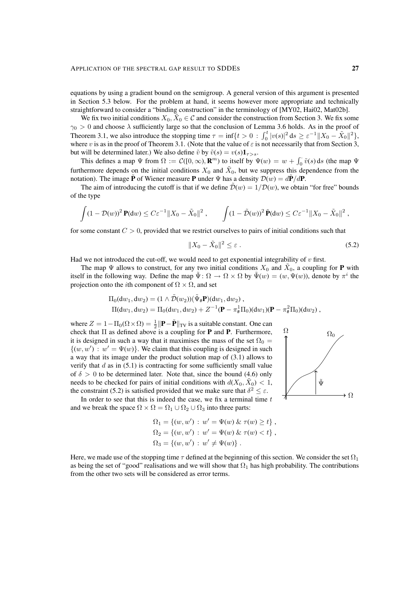equations by using a gradient bound on the semigroup. A general version of this argument is presented in Section 5.3 below. For the problem at hand, it seems however more appropriate and technically straightforward to consider a "binding construction" in the terminology of [MY02, Hai02, Mat02b].

We fix two initial conditions  $X_0$ ,  $\tilde{X}_0 \in \mathcal{C}$  and consider the construction from Section 3. We fix some  $\gamma_0 > 0$  and choose  $\lambda$  sufficiently large so that the conclusion of Lemma 3.6 holds. As in the proof of Theorem 3.1, we also introduce the stopping time  $\tau = \inf\{t > 0 : \int_0^t |v(s)|^2 ds \ge \varepsilon^{-1} ||X_0 - \tilde{X}_0||^2 \}$ , where v is as in the proof of Theorem 3.1. (Note that the value of  $\varepsilon$  is not necessarily that from Section 3, but will be determined later.) We also define  $\tilde{v}$  by  $\tilde{v}(s) = v(s) \mathbf{1}_{\tau > s}$ .

This defines a map  $\Psi$  from  $\Omega := C([0,\infty), \mathbf{R}^m)$  to itself by  $\Psi(w) = w + \int_0^{\infty} \tilde{v}(s) ds$  (the map  $\Psi$ furthermore depends on the initial conditions  $X_0$  and  $\tilde{X}_0$ , but we suppress this dependence from the notation). The image **P** of Wiener measure **P** under  $\Psi$  has a density  $\mathcal{D}(w) = d\mathbf{P}/d\mathbf{P}$ .

The aim of introducing the cutoff is that if we define  $\tilde{\mathcal{D}}(w) = 1/\mathcal{D}(w)$ , we obtain "for free" bounds of the type

$$
\int (1-\mathcal{D}(w))^2 \mathbf{P}(\mathrm{d}w) \leq C \varepsilon^{-1} \|X_0 - \tilde{X}_0\|^2 , \qquad \int (1-\tilde{\mathcal{D}}(w))^2 \tilde{\mathbf{P}}(\mathrm{d}w) \leq C \varepsilon^{-1} \|X_0 - \tilde{X}_0\|^2 ,
$$

for some constant  $C > 0$ , provided that we restrict ourselves to pairs of initial conditions such that

$$
||X_0 - \tilde{X}_0||^2 \le \varepsilon \,. \tag{5.2}
$$

Had we not introduced the cut-off, we would need to get exponential integrability of  $v$  first.

The map  $\Psi$  allows to construct, for any two initial conditions  $X_0$  and  $\tilde{X}_0$ , a coupling for **P** with itself in the following way. Define the map  $\tilde{\Psi} \colon \Omega \to \Omega \times \Omega$  by  $\tilde{\Psi}(w) = (w, \Psi(w))$ , denote by  $\pi^i$  the projection onto the *i*th component of  $\Omega \times \Omega$ , and set

$$
\Pi_0(\mathrm{d}w_1, \mathrm{d}w_2) = (1 \wedge \tilde{\mathcal{D}}(w_2))(\tilde{\Psi}_\# \mathbf{P})(\mathrm{d}w_1, \mathrm{d}w_2), \Pi(\mathrm{d}w_1, \mathrm{d}w_2) = \Pi_0(\mathrm{d}w_1, \mathrm{d}w_2) + Z^{-1}(\mathbf{P} - \pi_\#^1 \Pi_0)(\mathrm{d}w_1)(\mathbf{P} - \pi_\#^2 \Pi_0)(\mathrm{d}w_2),
$$

where  $Z = 1 - \Pi_0(\Omega \times \Omega) = \frac{1}{2} ||\mathbf{P} - \tilde{\mathbf{P}}||_{TV}$  is a suitable constant. One can check that  $\Pi$  as defined above is a coupling for **P** and **P**. Furthermore, it is designed in such a way that it maximises the mass of the set  $\Omega_0 =$  $\{(w, w') : w' = \Psi(w)\}.$  We claim that this coupling is designed in such a way that its image under the product solution map of (3.1) allows to verify that  $d$  as in (5.1) is contracting for some sufficiently small value of  $\delta > 0$  to be determined later. Note that, since the bound (4.6) only needs to be checked for pairs of initial conditions with  $d(X_0, \tilde{X}_0) < 1$ , the constraint (5.2) is satisfied provided that we make sure that  $\delta^2 \leq \varepsilon$ .



In order to see that this is indeed the case, we fix a terminal time  $t$ and we break the space  $\Omega \times \Omega = \Omega_1 \cup \Omega_2 \cup \Omega_3$  into three parts:

$$
\Omega_1 = \{(w, w') : w' = \Psi(w) \& \tau(w) \ge t\},\
$$
  
\n
$$
\Omega_2 = \{(w, w') : w' = \Psi(w) \& \tau(w) < t\},\
$$
  
\n
$$
\Omega_3 = \{(w, w') : w' \neq \Psi(w)\}.
$$

Here, we made use of the stopping time  $\tau$  defined at the beginning of this section. We consider the set  $\Omega_1$ as being the set of "good" realisations and we will show that  $\Omega_1$  has high probability. The contributions from the other two sets will be considered as error terms.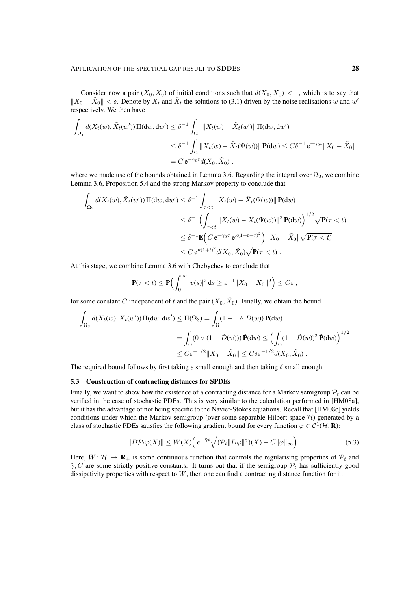Consider now a pair  $(X_0, \tilde{X}_0)$  of initial conditions such that  $d(X_0, \tilde{X}_0) < 1$ , which is to say that  $||X_0 - \tilde{X}_0|| < \delta$ . Denote by  $X_t$  and  $\tilde{X}_t$  the solutions to (3.1) driven by the noise realisations w and w' respectively. We then have

$$
\int_{\Omega_1} d(X_t(w), \tilde{X}_t(w')) \Pi(dw, dw') \leq \delta^{-1} \int_{\Omega_1} ||X_t(w) - \tilde{X}_t(w')|| \Pi(dw, dw')
$$
  

$$
\leq \delta^{-1} \int_{\Omega} ||X_t(w) - \tilde{X}_t(\Psi(w))|| \mathbf{P}(dw) \leq C\delta^{-1} e^{-\gamma_0 t} ||X_0 - \tilde{X}_0||
$$
  

$$
= C e^{-\gamma_0 t} d(X_0, \tilde{X}_0),
$$

where we made use of the bounds obtained in Lemma 3.6. Regarding the integral over  $\Omega_2$ , we combine Lemma 3.6, Proposition 5.4 and the strong Markov property to conclude that

$$
\int_{\Omega_2} d(X_t(w), \tilde{X}_t(w')) \Pi(dw, dw') \leq \delta^{-1} \int_{\tau < t} ||X_t(w) - \tilde{X}_t(\Psi(w))|| \mathbf{P}(dw)
$$
\n
$$
\leq \delta^{-1} \Big( \int_{\tau < t} ||X_t(w) - \tilde{X}_t(\Psi(w))||^2 \mathbf{P}(dw) \Big)^{1/2} \sqrt{\mathbf{P}(\tau < t)}
$$
\n
$$
\leq \delta^{-1} \mathbf{E} \Big( C e^{-\gamma_0 \tau} e^{\kappa (1+t-\tau)^2} \Big) ||X_0 - \tilde{X}_0|| \sqrt{\mathbf{P}(\tau < t)}
$$
\n
$$
\leq C e^{\kappa (1+t)^2} d(X_0, \tilde{X}_0) \sqrt{\mathbf{P}(\tau < t)}.
$$

At this stage, we combine Lemma 3.6 with Chebychev to conclude that

$$
\mathbf{P}(\tau < t) \le \mathbf{P}\Big(\int_0^\infty |v(s)|^2 \,\mathrm{d}s \ge \varepsilon^{-1} \|X_0 - \tilde{X}_0\|^2\Big) \le C\varepsilon \,,
$$

for some constant C independent of t and the pair  $(X_0, \tilde{X}_0)$ . Finally, we obtain the bound

$$
\int_{\Omega_3} d(X_t(w), \tilde{X}_t(w')) \Pi(dw, dw') \leq \Pi(\Omega_3) = \int_{\Omega} (1 - 1 \wedge \tilde{D}(w)) \tilde{\mathbf{P}}(dw)
$$
\n
$$
= \int_{\Omega} (0 \vee (1 - \tilde{D}(w))) \tilde{\mathbf{P}}(dw) \leq \left( \int_{\Omega} (1 - \tilde{D}(w))^2 \tilde{\mathbf{P}}(dw) \right)^{1/2}
$$
\n
$$
\leq C \varepsilon^{-1/2} \|X_0 - \tilde{X}_0\| \leq C \delta \varepsilon^{-1/2} d(X_0, \tilde{X}_0) .
$$

The required bound follows by first taking  $\varepsilon$  small enough and then taking  $\delta$  small enough.

#### 5.3 Construction of contracting distances for SPDEs

Finally, we want to show how the existence of a contracting distance for a Markov semigroup  $\mathcal{P}_t$  can be verified in the case of stochastic PDEs. This is very similar to the calculation performed in [HM08a], but it has the advantage of not being specific to the Navier-Stokes equations. Recall that [HM08c] yields conditions under which the Markov semigroup (over some separable Hilbert space  $H$ ) generated by a class of stochastic PDEs satisfies the following gradient bound for every function  $\varphi \in C^1(\mathcal{H}, \mathbf{R})$ :

$$
||D\mathcal{P}_t\varphi(X)|| \le W(X) \Big( e^{-\tilde{\gamma}t} \sqrt{(\mathcal{P}_t || D\varphi||^2)(X)} + C ||\varphi||_{\infty} \Big) . \tag{5.3}
$$

Here,  $W: \mathcal{H} \to \mathbf{R}_{+}$  is some continuous function that controls the regularising properties of  $\mathcal{P}_t$  and  $\tilde{\gamma}$ , C are some strictly positive constants. It turns out that if the semigroup  $\mathcal{P}_t$  has sufficiently good dissipativity properties with respect to W, then one can find a contracting distance function for it.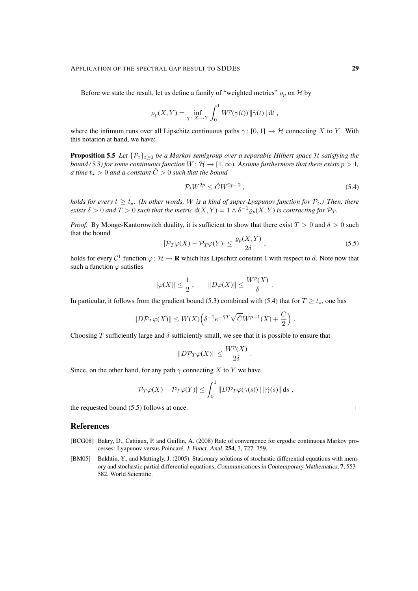Before we state the result, let us define a family of "weighted metrics"  $\rho_p$  on H by

$$
\varrho_p(X,Y) = \inf_{\gamma \colon X \to Y} \int_0^1 W^p(\gamma(t)) \|\dot{\gamma}(t)\| \, \mathrm{d}t \, ,
$$

where the infimum runs over all Lipschitz continuous paths  $\gamma$ : [0, 1]  $\rightarrow$  H connecting X to Y. With this notation at hand, we have:

**Proposition 5.5** *Let*  $\{P_t\}_{t\geq0}$  *be a Markov semigroup over a separable Hilbert space* H *satisfying the bound (5.3) for some continuous function*  $W: \mathcal{H} \to [1,\infty)$ *. Assume furthermore that there exists*  $p > 1$ *, a time*  $t_{\star} > 0$  *and a constant*  $\tilde{C} > 0$  *such that the bound* 

$$
\mathcal{P}_t W^{2p} \le \tilde{C} W^{2p-2} \,,\tag{5.4}
$$

*holds for every*  $t \geq t_{\star}$ . (In other words, W is a kind of super-Lyapunov function for  $\mathcal{P}_t$ .) Then, there *exists*  $\delta > 0$  and  $T > 0$  *such that the metric*  $d(X, Y) = 1 \wedge \delta^{-1} \varrho_p(X, Y)$  *is contracting for*  $\mathcal{P}_T$ *.* 

*Proof.* By Monge-Kantorowitch duality, it is sufficient to show that there exist  $T > 0$  and  $\delta > 0$  such that the bound

$$
|\mathcal{P}_T\varphi(X) - \mathcal{P}_T\varphi(Y)| \le \frac{\varrho_p(X, Y)}{2\delta} \,,\tag{5.5}
$$

holds for every  $C^1$  function  $\varphi \colon \mathcal{H} \to \mathbf{R}$  which has Lipschitz constant 1 with respect to d. Note now that such a function  $\varphi$  satisfies

$$
|\varphi(X)| \le \frac{1}{2}
$$
,  $||D\varphi(X)|| \le \frac{W^p(X)}{\delta}$ .

In particular, it follows from the gradient bound (5.3) combined with (5.4) that for  $T \ge t_*$ , one has

$$
||D\mathcal{P}_T\varphi(X)|| \leq W(X) \Big( \delta^{-1} e^{-\tilde{\gamma}T} \sqrt{\tilde{C}} W^{p-1}(X) + \frac{C}{2} \Big) .
$$

Choosing T sufficiently large and  $\delta$  sufficiently small, we see that it is possible to ensure that

$$
||D\mathcal{P}_T\varphi(X)|| \leq \frac{W^p(X)}{2\delta}.
$$

Since, on the other hand, for any path  $\gamma$  connecting X to Y we have

$$
|\mathcal{P}_T\varphi(X) - \mathcal{P}_T\varphi(Y)| \leq \int_0^1 ||D\mathcal{P}_T\varphi(\gamma(s))|| \, ||\dot{\gamma}(s)|| \, ds
$$
,

the requested bound (5.5) follows at once.

## References

- [BCG08] Bakry, D., Cattiaux, P. and Guillin, A. (2008) Rate of convergence for ergodic continuous Markov processes: Lyapunov versus Poincaré. J. Funct. Anal. 254, 3, 727–759.
- [BM05] Bakhtin, Y., and Mattingly, J. (2005). Stationary solutions of stochastic differential equations with memory and stochastic partial differential equations, Communications in Contemporary Mathematics, 7, 553– 582, World Scientific.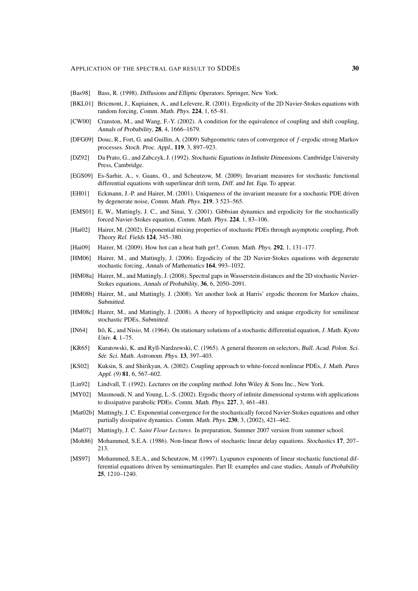- [Bas98] Bass, R. (1998). Diffusions and Elliptic Operators. Springer, New York.
- [BKL01] Bricmont, J., Kupiainen, A., and Lefevere, R. (2001). Ergodicity of the 2D Navier-Stokes equations with random forcing, Comm. Math. Phys. 224, 1, 65–81.
- [CW00] Cranston, M., and Wang, F.-Y. (2002). A condition for the equivalence of coupling and shift coupling, Annals of Probability, 28, 4, 1666–1679.
- [DFG09] Douc, R., Fort, G. and Guillin, A. (2009) Subgeometric rates of convergence of f-ergodic strong Markov processes. Stoch. Proc. Appl., 119, 3, 897–923.
- [DZ92] Da Prato, G., and Zabczyk, J. (1992). Stochastic Equations in Infinite Dimensions. Cambridge University Press, Cambridge.
- [EGS09] Es-Sarhir, A., v. Gaans, O., and Scheutzow, M. (2009). Invariant measures for stochastic functional differential equations with superlinear drift term, Diff. and Int. Equ. To appear.
- [EH01] Eckmann, J.-P. and Hairer, M. (2001). Uniqueness of the invariant measure for a stochastic PDE driven by degenerate noise, Comm. Math. Phys. 219, 3 523–565.
- [EMS01] E, W., Mattingly, J. C., and Sinai, Y. (2001). Gibbsian dynamics and ergodicity for the stochastically forced Navier-Stokes equation, Comm. Math. Phys. 224, 1, 83–106.
- [Hai02] Hairer, M. (2002). Exponential mixing properties of stochastic PDEs through asymptotic coupling, Prob. Theory Rel. Fields 124, 345–380.
- [Hai09] Hairer, M. (2009). How hot can a heat bath get?, Comm. Math. Phys. 292, 1, 131–177.
- [HM06] Hairer, M., and Mattingly, J. (2006). Ergodicity of the 2D Navier-Stokes equations with degenerate stochastic forcing, Annals of Mathematics 164, 993–1032.
- [HM08a] Hairer, M., and Mattingly, J. (2008). Spectral gaps in Wasserstein distances and the 2D stochastic Navier-Stokes equations, Annals of Probability, 36, 6, 2050–2091.
- [HM08b] Hairer, M., and Mattingly, J. (2008). Yet another look at Harris' ergodic theorem for Markov chains, Submitted.
- [HM08c] Hairer, M., and Mattingly, J. (2008). A theory of hypoellipticity and unique ergodicity for semilinear stochastic PDEs, Submitted.
- [IN64] Itô, K., and Nisio, M. (1964). On stationary solutions of a stochastic differential equation, *J. Math. Kyoto* Univ. 4, 1–75.
- [KR65] Kuratowski, K. and Ryll-Nardzewski, C. (1965). A general theorem on selectors, Bull. Acad. Polon. Sci. Sér. Sci. Math. Astronom. Phys. 13, 397-403.
- [KS02] Kuksin, S. and Shirikyan, A. (2002). Coupling approach to white-forced nonlinear PDEs, J. Math. Pures Appl. (9) **81**, 6, 567–602.
- [Lin92] Lindvall, T. (1992). Lectures on the coupling method. John Wiley & Sons Inc., New York.
- [MY02] Masmoudi, N. and Young, L.-S. (2002). Ergodic theory of infinite dimensional systems with applications to dissipative parabolic PDEs. Comm. Math. Phys. 227, 3, 461–481.
- [Mat02b] Mattingly, J. C. Exponential convergence for the stochastically forced Navier-Stokes equations and other partially dissipative dynamics. Comm. Math. Phys. 230, 3, (2002), 421–462.
- [Mat07] Mattingly, J. C. *Saint Flour Lectures*. In preparation, Summer 2007 version from summer school.
- [Moh86] Mohammed, S.E.A. (1986). Non-linear flows of stochastic linear delay equations. Stochastics 17, 207– 213.
- [MS97] Mohammed, S.E.A., and Scheutzow, M. (1997). Lyapunov exponents of linear stochastic functional differential equations driven by semimartingales. Part II: examples and case studies, Annals of Probability 25, 1210–1240.